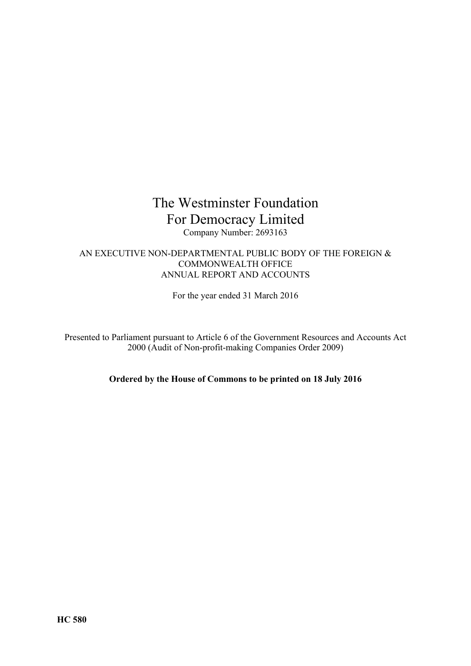# The Westminster Foundation For Democracy Limited Company Number: 2693163

# AN EXECUTIVE NON-DEPARTMENTAL PUBLIC BODY OF THE FOREIGN & COMMONWEALTH OFFICE ANNUAL REPORT AND ACCOUNTS

For the year ended 31 March 2016

Presented to Parliament pursuant to Article 6 of the Government Resources and Accounts Act 2000 (Audit of Non-profit-making Companies Order 2009)

**Ordered by the House of Commons to be printed on 18 July 2016**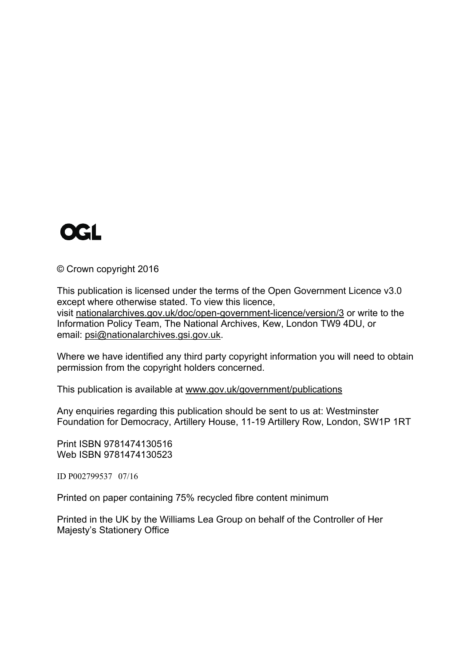

© Crown copyright 2016

This publication is licensed under the terms of the Open Government Licence v3.0 except where otherwise stated. To view this licence, visit [nationalarchives.gov.uk/doc/open-government-licence/version/3](http://www.nationalarchives.gov.uk/doc/open-government-licence/version/3) or write to the Information Policy Team, The National Archives, Kew, London TW9 4DU, or email: [psi@nationalarchives.gsi.gov.uk.](mailto:psi@nationalarchives.gsi.gov.uk)

Where we have identified any third party copyright information you will need to obtain permission from the copyright holders concerned.

This publication is available at [www.gov.uk/government/publications](http://www.gov.uk/government/publications)

Any enquiries regarding this publication should be sent to us at: Westminster Foundation for Democracy, Artillery House, 11-19 Artillery Row, London, SW1P 1RT

Print ISBN 9781474130516 Web ISBN 9781474130523

ID P002799537 07/16

Printed on paper containing 75% recycled fibre content minimum

Printed in the UK by the Williams Lea Group on behalf of the Controller of Her Majesty's Stationery Office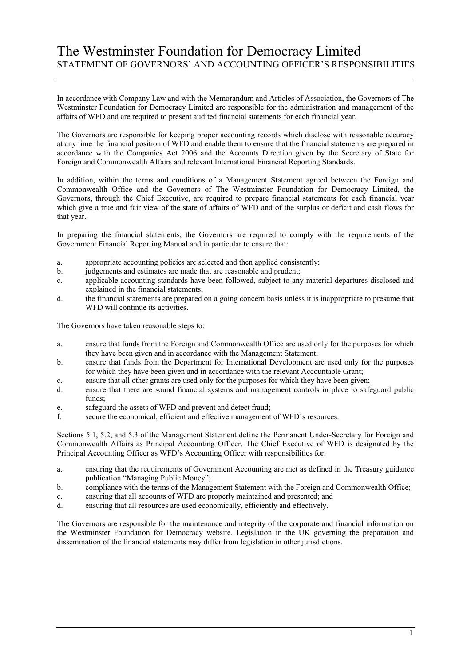# The Westminster Foundation for Democracy Limited STATEMENT OF GOVERNORS" AND ACCOUNTING OFFICER"S RESPONSIBILITIES

In accordance with Company Law and with the Memorandum and Articles of Association, the Governors of The Westminster Foundation for Democracy Limited are responsible for the administration and management of the affairs of WFD and are required to present audited financial statements for each financial year.

The Governors are responsible for keeping proper accounting records which disclose with reasonable accuracy at any time the financial position of WFD and enable them to ensure that the financial statements are prepared in accordance with the Companies Act 2006 and the Accounts Direction given by the Secretary of State for Foreign and Commonwealth Affairs and relevant International Financial Reporting Standards.

In addition, within the terms and conditions of a Management Statement agreed between the Foreign and Commonwealth Office and the Governors of The Westminster Foundation for Democracy Limited, the Governors, through the Chief Executive, are required to prepare financial statements for each financial year which give a true and fair view of the state of affairs of WFD and of the surplus or deficit and cash flows for that year.

In preparing the financial statements, the Governors are required to comply with the requirements of the Government Financial Reporting Manual and in particular to ensure that:

- a. appropriate accounting policies are selected and then applied consistently;
- b. judgements and estimates are made that are reasonable and prudent;
- c. applicable accounting standards have been followed, subject to any material departures disclosed and explained in the financial statements;
- d. the financial statements are prepared on a going concern basis unless it is inappropriate to presume that WFD will continue its activities.

The Governors have taken reasonable steps to:

- a. ensure that funds from the Foreign and Commonwealth Office are used only for the purposes for which they have been given and in accordance with the Management Statement;
- b. ensure that funds from the Department for International Development are used only for the purposes for which they have been given and in accordance with the relevant Accountable Grant;
- c. ensure that all other grants are used only for the purposes for which they have been given;
- d. ensure that there are sound financial systems and management controls in place to safeguard public funds;
- e. safeguard the assets of WFD and prevent and detect fraud;
- f. secure the economical, efficient and effective management of WFD"s resources.

Sections 5.1, 5.2, and 5.3 of the Management Statement define the Permanent Under-Secretary for Foreign and Commonwealth Affairs as Principal Accounting Officer. The Chief Executive of WFD is designated by the Principal Accounting Officer as WFD"s Accounting Officer with responsibilities for:

- a. ensuring that the requirements of Government Accounting are met as defined in the Treasury guidance publication "Managing Public Money";
- b. compliance with the terms of the Management Statement with the Foreign and Commonwealth Office;
- c. ensuring that all accounts of WFD are properly maintained and presented; and
- d. ensuring that all resources are used economically, efficiently and effectively.

The Governors are responsible for the maintenance and integrity of the corporate and financial information on the Westminster Foundation for Democracy website. Legislation in the UK governing the preparation and dissemination of the financial statements may differ from legislation in other jurisdictions.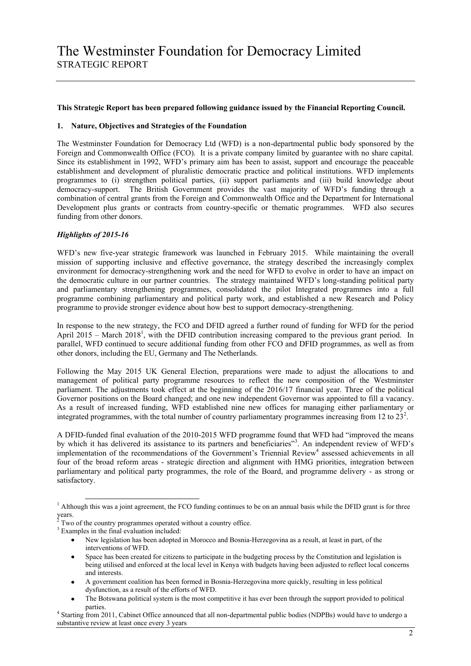#### **This Strategic Report has been prepared following guidance issued by the Financial Reporting Council.**

#### **1. Nature, Objectives and Strategies of the Foundation**

The Westminster Foundation for Democracy Ltd (WFD) is a non-departmental public body sponsored by the Foreign and Commonwealth Office (FCO). It is a private company limited by guarantee with no share capital. Since its establishment in 1992, WFD"s primary aim has been to assist, support and encourage the peaceable establishment and development of pluralistic democratic practice and political institutions. WFD implements programmes to (i) strengthen political parties, (ii) support parliaments and (iii) build knowledge about democracy-support. The British Government provides the vast majority of WFD"s funding through a combination of central grants from the Foreign and Commonwealth Office and the Department for International Development plus grants or contracts from country-specific or thematic programmes. WFD also secures funding from other donors.

### *Highlights of 2015-16*

WFD"s new five-year strategic framework was launched in February 2015. While maintaining the overall mission of supporting inclusive and effective governance, the strategy described the increasingly complex environment for democracy-strengthening work and the need for WFD to evolve in order to have an impact on the democratic culture in our partner countries. The strategy maintained WFD"s long-standing political party and parliamentary strengthening programmes, consolidated the pilot Integrated programmes into a full programme combining parliamentary and political party work, and established a new Research and Policy programme to provide stronger evidence about how best to support democracy-strengthening.

In response to the new strategy, the FCO and DFID agreed a further round of funding for WFD for the period April  $2015$  – March  $2018<sup>1</sup>$ , with the DFID contribution increasing compared to the previous grant period. In parallel, WFD continued to secure additional funding from other FCO and DFID programmes, as well as from other donors, including the EU, Germany and The Netherlands.

Following the May 2015 UK General Election, preparations were made to adjust the allocations to and management of political party programme resources to reflect the new composition of the Westminster parliament. The adjustments took effect at the beginning of the 2016/17 financial year. Three of the political Governor positions on the Board changed; and one new independent Governor was appointed to fill a vacancy. As a result of increased funding, WFD established nine new offices for managing either parliamentary or integrated programmes, with the total number of country parliamentary programmes increasing from 12 to  $23<sup>2</sup>$ .

A DFID-funded final evaluation of the 2010-2015 WFD programme found that WFD had "improved the means by which it has delivered its assistance to its partners and beneficiaries"<sup>3</sup>. An independent review of WFD's implementation of the recommendations of the Government's Triennial Review<sup>4</sup> assessed achievements in all four of the broad reform areas - strategic direction and alignment with HMG priorities, integration between parliamentary and political party programmes, the role of the Board, and programme delivery - as strong or satisfactory.

-

Space has been created for citizens to participate in the budgeting process by the Constitution and legislation is  $\bullet$ being utilised and enforced at the local level in Kenya with budgets having been adjusted to reflect local concerns and interests.

 $<sup>1</sup>$  Although this was a joint agreement, the FCO funding continues to be on an annual basis while the DFID grant is for three</sup>  $\frac{1}{2}$  years.

Two of the country programmes operated without a country office.

<sup>&</sup>lt;sup>3</sup> Examples in the final evaluation included:

New legislation has been adopted in Morocco and Bosnia-Herzegovina as a result, at least in part, of the interventions of WFD.

A government coalition has been formed in Bosnia-Herzegovina more quickly, resulting in less political dysfunction, as a result of the efforts of WFD.

The Botswana political system is the most competitive it has ever been through the support provided to political parties.

<sup>4</sup> Starting from 2011, Cabinet Office announced that all non-departmental public bodies (NDPBs) would have to undergo a substantive review at least once every 3 years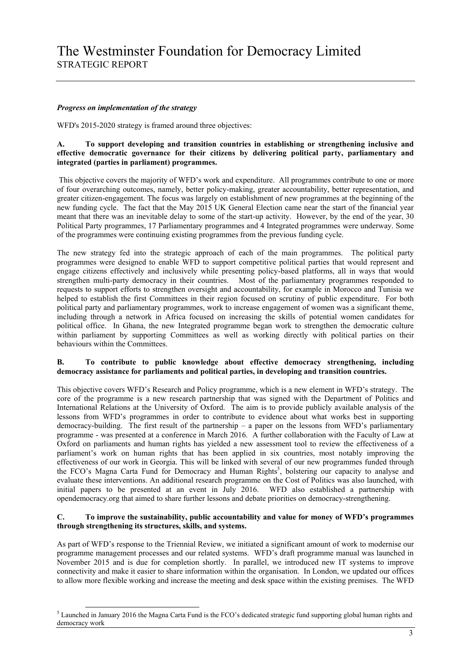## *Progress on implementation of the strategy*

-

WFD's 2015-2020 strategy is framed around three objectives:

## **A. To support developing and transition countries in establishing or strengthening inclusive and effective democratic governance for their citizens by delivering political party, parliamentary and integrated (parties in parliament) programmes.**

This objective covers the majority of WFD"s work and expenditure. All programmes contribute to one or more of four overarching outcomes, namely, better policy-making, greater accountability, better representation, and greater citizen-engagement. The focus was largely on establishment of new programmes at the beginning of the new funding cycle. The fact that the May 2015 UK General Election came near the start of the financial year meant that there was an inevitable delay to some of the start-up activity. However, by the end of the year, 30 Political Party programmes, 17 Parliamentary programmes and 4 Integrated programmes were underway. Some of the programmes were continuing existing programmes from the previous funding cycle.

The new strategy fed into the strategic approach of each of the main programmes. The political party programmes were designed to enable WFD to support competitive political parties that would represent and engage citizens effectively and inclusively while presenting policy-based platforms, all in ways that would strengthen multi-party democracy in their countries. Most of the parliamentary programmes responded to requests to support efforts to strengthen oversight and accountability, for example in Morocco and Tunisia we helped to establish the first Committees in their region focused on scrutiny of public expenditure. For both political party and parliamentary programmes, work to increase engagement of women was a significant theme, including through a network in Africa focused on increasing the skills of potential women candidates for political office. In Ghana, the new Integrated programme began work to strengthen the democratic culture within parliament by supporting Committees as well as working directly with political parties on their behaviours within the Committees.

## **B. To contribute to public knowledge about effective democracy strengthening, including democracy assistance for parliaments and political parties, in developing and transition countries.**

This objective covers WFD"s Research and Policy programme, which is a new element in WFD"s strategy. The core of the programme is a new research partnership that was signed with the Department of Politics and International Relations at the University of Oxford. The aim is to provide publicly available analysis of the lessons from WFD"s programmes in order to contribute to evidence about what works best in supporting democracy-building. The first result of the partnership  $-$  a paper on the lessons from WFD's parliamentary programme - was presented at a conference in March 2016. A further collaboration with the Faculty of Law at Oxford on parliaments and human rights has yielded a new assessment tool to review the effectiveness of a parliament"s work on human rights that has been applied in six countries, most notably improving the effectiveness of our work in Georgia. This will be linked with several of our new programmes funded through the FCO's Magna Carta Fund for Democracy and Human Rights<sup>5</sup>, bolstering our capacity to analyse and evaluate these interventions. An additional research programme on the Cost of Politics was also launched, with initial papers to be presented at an event in July 2016. WFD also established a partnership with opendemocracy.org that aimed to share further lessons and debate priorities on democracy-strengthening.

### **C. To improve the sustainability, public accountability and value for money of WFD's programmes through strengthening its structures, skills, and systems.**

As part of WFD"s response to the Triennial Review, we initiated a significant amount of work to modernise our programme management processes and our related systems. WFD"s draft programme manual was launched in November 2015 and is due for completion shortly. In parallel, we introduced new IT systems to improve connectivity and make it easier to share information within the organisation. In London, we updated our offices to allow more flexible working and increase the meeting and desk space within the existing premises. The WFD

<sup>&</sup>lt;sup>5</sup> Launched in January 2016 the Magna Carta Fund is the FCO's dedicated strategic fund supporting global human rights and democracy work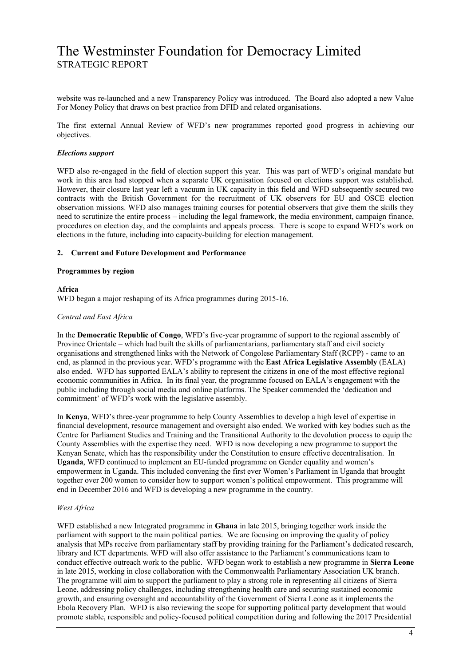website was re-launched and a new Transparency Policy was introduced. The Board also adopted a new Value For Money Policy that draws on best practice from DFID and related organisations.

The first external Annual Review of WFD"s new programmes reported good progress in achieving our objectives.

#### *Elections support*

WFD also re-engaged in the field of election support this year. This was part of WFD's original mandate but work in this area had stopped when a separate UK organisation focused on elections support was established. However, their closure last year left a vacuum in UK capacity in this field and WFD subsequently secured two contracts with the British Government for the recruitment of UK observers for EU and OSCE election observation missions. WFD also manages training courses for potential observers that give them the skills they need to scrutinize the entire process – including the legal framework, the media environment, campaign finance, procedures on election day, and the complaints and appeals process. There is scope to expand WFD"s work on elections in the future, including into capacity-building for election management.

#### **2. Current and Future Development and Performance**

#### **Programmes by region**

#### **Africa**

WFD began a major reshaping of its Africa programmes during 2015-16.

#### *Central and East Africa*

In the **Democratic Republic of Congo**, WFD"s five-year programme of support to the regional assembly of Province Orientale – which had built the skills of parliamentarians, parliamentary staff and civil society organisations and strengthened links with the Network of Congolese Parliamentary Staff (RCPP) - came to an end, as planned in the previous year. WFD"s programme with the **East Africa Legislative Assembly** (EALA) also ended. WFD has supported EALA"s ability to represent the citizens in one of the most effective regional economic communities in Africa. In its final year, the programme focused on EALA"s engagement with the public including through social media and online platforms. The Speaker commended the "dedication and commitment' of WFD's work with the legislative assembly.

In **Kenya**, WFD"s three-year programme to help County Assemblies to develop a high level of expertise in financial development, resource management and oversight also ended. We worked with key bodies such as the Centre for Parliament Studies and Training and the Transitional Authority to the devolution process to equip the County Assemblies with the expertise they need. WFD is now developing a new programme to support the Kenyan Senate, which has the responsibility under the Constitution to ensure effective decentralisation. In **Uganda**, WFD continued to implement an EU-funded programme on Gender equality and women"s empowerment in Uganda. This included convening the first ever Women"s Parliament in Uganda that brought together over 200 women to consider how to support women"s political empowerment. This programme will end in December 2016 and WFD is developing a new programme in the country.

#### *West Africa*

WFD established a new Integrated programme in **Ghana** in late 2015, bringing together work inside the parliament with support to the main political parties. We are focusing on improving the quality of policy analysis that MPs receive from parliamentary staff by providing training for the Parliament's dedicated research, library and ICT departments. WFD will also offer assistance to the Parliament's communications team to conduct effective outreach work to the public. WFD began work to establish a new programme in **Sierra Leone** in late 2015, working in close collaboration with the Commonwealth Parliamentary Association UK branch. The programme will aim to support the parliament to play a strong role in representing all citizens of Sierra Leone, addressing policy challenges, including strengthening health care and securing sustained economic growth, and ensuring oversight and accountability of the Government of Sierra Leone as it implements the Ebola Recovery Plan. WFD is also reviewing the scope for supporting political party development that would promote stable, responsible and policy-focused political competition during and following the 2017 Presidential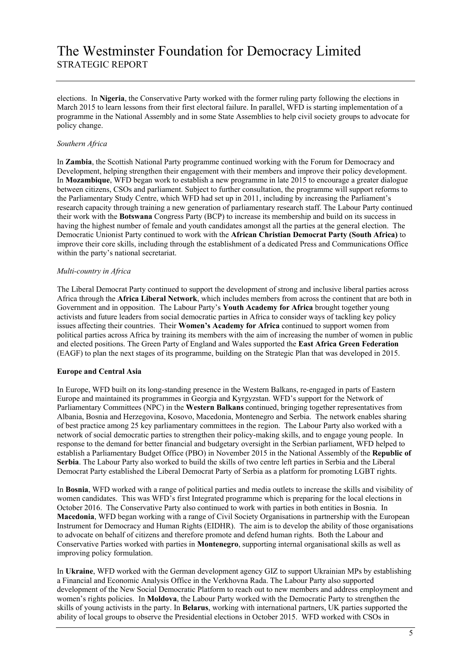elections. In **Nigeria**, the Conservative Party worked with the former ruling party following the elections in March 2015 to learn lessons from their first electoral failure. In parallel, WFD is starting implementation of a programme in the National Assembly and in some State Assemblies to help civil society groups to advocate for policy change.

## *Southern Africa*

In **Zambia**, the Scottish National Party programme continued working with the Forum for Democracy and Development, helping strengthen their engagement with their members and improve their policy development. In **Mozambique**, WFD began work to establish a new programme in late 2015 to encourage a greater dialogue between citizens, CSOs and parliament. Subject to further consultation, the programme will support reforms to the Parliamentary Study Centre, which WFD had set up in 2011, including by increasing the Parliament"s research capacity through training a new generation of parliamentary research staff. The Labour Party continued their work with the **Botswana** Congress Party (BCP) to increase its membership and build on its success in having the highest number of female and youth candidates amongst all the parties at the general election. The Democratic Unionist Party continued to work with the **African Christian Democrat Party (South Africa)** to improve their core skills, including through the establishment of a dedicated Press and Communications Office within the party's national secretariat.

### *Multi-country in Africa*

The Liberal Democrat Party continued to support the development of strong and inclusive liberal parties across Africa through the **Africa Liberal Network**, which includes members from across the continent that are both in Government and in opposition. The Labour Party"s **Youth Academy for Africa** brought together young activists and future leaders from social democratic parties in Africa to consider ways of tackling key policy issues affecting their countries. Their **Women's Academy for Africa** continued to support women from political parties across Africa by training its members with the aim of increasing the number of women in public and elected positions. The Green Party of England and Wales supported the **East Africa Green Federation** (EAGF) to plan the next stages of its programme, building on the Strategic Plan that was developed in 2015.

### **Europe and Central Asia**

In Europe, WFD built on its long-standing presence in the Western Balkans, re-engaged in parts of Eastern Europe and maintained its programmes in Georgia and Kyrgyzstan. WFD"s support for the Network of Parliamentary Committees (NPC) in the **Western Balkans** continued, bringing together representatives from Albania, Bosnia and Herzegovina, Kosovo, Macedonia, Montenegro and Serbia. The network enables sharing of best practice among 25 key parliamentary committees in the region. The Labour Party also worked with a network of social democratic parties to strengthen their policy-making skills, and to engage young people. In response to the demand for better financial and budgetary oversight in the Serbian parliament, WFD helped to establish a Parliamentary Budget Office (PBO) in November 2015 in the National Assembly of the **Republic of Serbia**. The Labour Party also worked to build the skills of two centre left parties in Serbia and the Liberal Democrat Party established the Liberal Democrat Party of Serbia as a platform for promoting LGBT rights.

In **Bosnia**, WFD worked with a range of political parties and media outlets to increase the skills and visibility of women candidates. This was WFD"s first Integrated programme which is preparing for the local elections in October 2016. The Conservative Party also continued to work with parties in both entities in Bosnia. In **Macedonia**, WFD began working with a range of Civil Society Organisations in partnership with the European Instrument for Democracy and Human Rights (EIDHR). The aim is to develop the ability of those organisations to advocate on behalf of citizens and therefore promote and defend human rights. Both the Labour and Conservative Parties worked with parties in **Montenegro**, supporting internal organisational skills as well as improving policy formulation.

In **Ukraine**, WFD worked with the German development agency GIZ to support Ukrainian MPs by establishing a Financial and Economic Analysis Office in the Verkhovna Rada. The Labour Party also supported development of the New Social Democratic Platform to reach out to new members and address employment and women"s rights policies. In **Moldova**, the Labour Party worked with the Democratic Party to strengthen the skills of young activists in the party. In **Belarus**, working with international partners, UK parties supported the ability of local groups to observe the Presidential elections in October 2015. WFD worked with CSOs in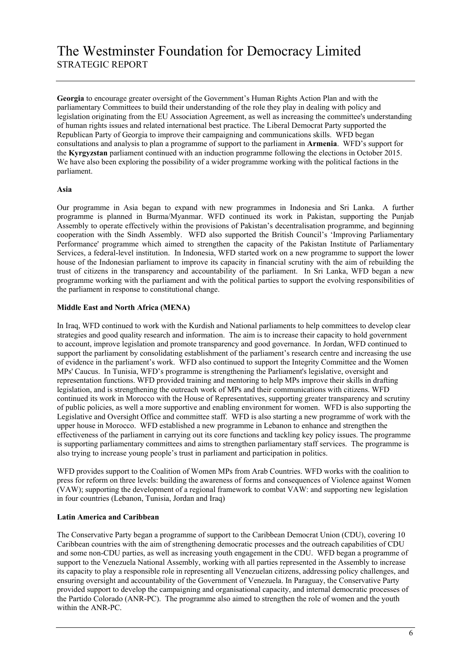Georgia to encourage greater oversight of the Government's Human Rights Action Plan and with the parliamentary Committees to build their understanding of the role they play in dealing with policy and legislation originating from the EU Association Agreement, as well as increasing the committee's understanding of human rights issues and related international best practice. The Liberal Democrat Party supported the Republican Party of Georgia to improve their campaigning and communications skills. WFD began consultations and analysis to plan a programme of support to the parliament in **Armenia**. WFD"s support for the **Kyrgyzstan** parliament continued with an induction programme following the elections in October 2015. We have also been exploring the possibility of a wider programme working with the political factions in the parliament.

### **Asia**

Our programme in Asia began to expand with new programmes in Indonesia and Sri Lanka. A further programme is planned in Burma/Myanmar. WFD continued its work in Pakistan, supporting the Punjab Assembly to operate effectively within the provisions of Pakistan"s decentralisation programme, and beginning cooperation with the Sindh Assembly. WFD also supported the British Council's 'Improving Parliamentary Performance' programme which aimed to strengthen the capacity of the Pakistan Institute of Parliamentary Services, a federal-level institution. In Indonesia, WFD started work on a new programme to support the lower house of the Indonesian parliament to improve its capacity in financial scrutiny with the aim of rebuilding the trust of citizens in the transparency and accountability of the parliament. In Sri Lanka, WFD began a new programme working with the parliament and with the political parties to support the evolving responsibilities of the parliament in response to constitutional change.

## **Middle East and North Africa (MENA)**

In Iraq, WFD continued to work with the Kurdish and National parliaments to help committees to develop clear strategies and good quality research and information. The aim is to increase their capacity to hold government to account, improve legislation and promote transparency and good governance. In Jordan, WFD continued to support the parliament by consolidating establishment of the parliament's research centre and increasing the use of evidence in the parliament"s work. WFD also continued to support the Integrity Committee and the Women MPs' Caucus. In Tunisia, WFD"s programme is strengthening the Parliament's legislative, oversight and representation functions. WFD provided training and mentoring to help MPs improve their skills in drafting legislation, and is strengthening the outreach work of MPs and their communications with citizens. WFD continued its work in Morocco with the House of Representatives, supporting greater transparency and scrutiny of public policies, as well a more supportive and enabling environment for women. WFD is also supporting the Legislative and Oversight Office and committee staff. WFD is also starting a new programme of work with the upper house in Morocco. WFD established a new programme in Lebanon to enhance and strengthen the effectiveness of the parliament in carrying out its core functions and tackling key policy issues. The programme is supporting parliamentary committees and aims to strengthen parliamentary staff services. The programme is also trying to increase young people"s trust in parliament and participation in politics.

WFD provides support to the Coalition of Women MPs from Arab Countries. WFD works with the coalition to press for reform on three levels: building the awareness of forms and consequences of Violence against Women (VAW); supporting the development of a regional framework to combat VAW: and supporting new legislation in four countries (Lebanon, Tunisia, Jordan and Iraq)

### **Latin America and Caribbean**

The Conservative Party began a programme of support to the Caribbean Democrat Union (CDU), covering 10 Caribbean countries with the aim of strengthening democratic processes and the outreach capabilities of CDU and some non-CDU parties, as well as increasing youth engagement in the CDU. WFD began a programme of support to the Venezuela National Assembly, working with all parties represented in the Assembly to increase its capacity to play a responsible role in representing all Venezuelan citizens, addressing policy challenges, and ensuring oversight and accountability of the Government of Venezuela. In Paraguay, the Conservative Party provided support to develop the campaigning and organisational capacity, and internal democratic processes of the Partido Colorado (ANR-PC). The programme also aimed to strengthen the role of women and the youth within the ANR-PC.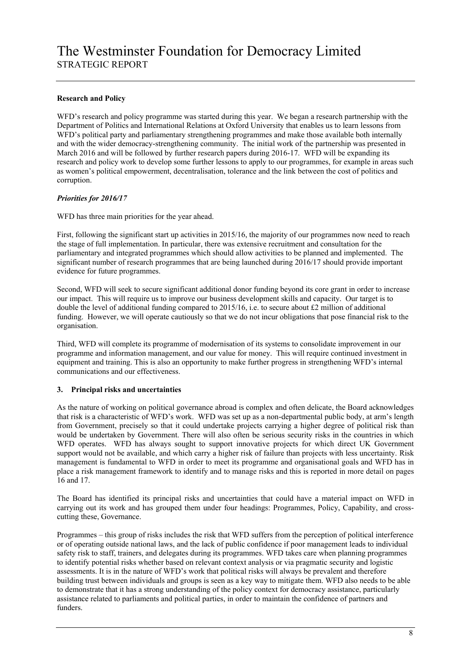# **Research and Policy**

WFD's research and policy programme was started during this year. We began a research partnership with the Department of Politics and International Relations at Oxford University that enables us to learn lessons from WFD's political party and parliamentary strengthening programmes and make those available both internally and with the wider democracy-strengthening community. The initial work of the partnership was presented in March 2016 and will be followed by further research papers during 2016-17. WFD will be expanding its research and policy work to develop some further lessons to apply to our programmes, for example in areas such as women"s political empowerment, decentralisation, tolerance and the link between the cost of politics and corruption.

### *Priorities for 2016/17*

WFD has three main priorities for the year ahead.

First, following the significant start up activities in 2015/16, the majority of our programmes now need to reach the stage of full implementation. In particular, there was extensive recruitment and consultation for the parliamentary and integrated programmes which should allow activities to be planned and implemented. The significant number of research programmes that are being launched during 2016/17 should provide important evidence for future programmes.

Second, WFD will seek to secure significant additional donor funding beyond its core grant in order to increase our impact. This will require us to improve our business development skills and capacity. Our target is to double the level of additional funding compared to 2015/16, i.e. to secure about £2 million of additional funding. However, we will operate cautiously so that we do not incur obligations that pose financial risk to the organisation.

Third, WFD will complete its programme of modernisation of its systems to consolidate improvement in our programme and information management, and our value for money. This will require continued investment in equipment and training. This is also an opportunity to make further progress in strengthening WFD"s internal communications and our effectiveness.

# **3. Principal risks and uncertainties**

As the nature of working on political governance abroad is complex and often delicate, the Board acknowledges that risk is a characteristic of WFD"s work. WFD was set up as a non-departmental public body, at arm"s length from Government, precisely so that it could undertake projects carrying a higher degree of political risk than would be undertaken by Government. There will also often be serious security risks in the countries in which WFD operates. WFD has always sought to support innovative projects for which direct UK Government support would not be available, and which carry a higher risk of failure than projects with less uncertainty. Risk management is fundamental to WFD in order to meet its programme and organisational goals and WFD has in place a risk management framework to identify and to manage risks and this is reported in more detail on pages 16 and 17.

The Board has identified its principal risks and uncertainties that could have a material impact on WFD in carrying out its work and has grouped them under four headings: Programmes, Policy, Capability, and crosscutting these, Governance.

Programmes – this group of risks includes the risk that WFD suffers from the perception of political interference or of operating outside national laws, and the lack of public confidence if poor management leads to individual safety risk to staff, trainers, and delegates during its programmes. WFD takes care when planning programmes to identify potential risks whether based on relevant context analysis or via pragmatic security and logistic assessments. It is in the nature of WFD"s work that political risks will always be prevalent and therefore building trust between individuals and groups is seen as a key way to mitigate them. WFD also needs to be able to demonstrate that it has a strong understanding of the policy context for democracy assistance, particularly assistance related to parliaments and political parties, in order to maintain the confidence of partners and funders.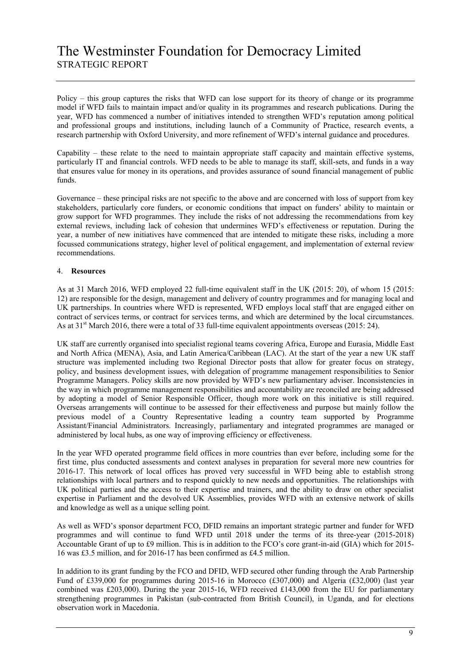Policy – this group captures the risks that WFD can lose support for its theory of change or its programme model if WFD fails to maintain impact and/or quality in its programmes and research publications. During the year, WFD has commenced a number of initiatives intended to strengthen WFD"s reputation among political and professional groups and institutions, including launch of a Community of Practice, research events, a research partnership with Oxford University, and more refinement of WFD"s internal guidance and procedures.

Capability – these relate to the need to maintain appropriate staff capacity and maintain effective systems, particularly IT and financial controls. WFD needs to be able to manage its staff, skill-sets, and funds in a way that ensures value for money in its operations, and provides assurance of sound financial management of public funds.

Governance – these principal risks are not specific to the above and are concerned with loss of support from key stakeholders, particularly core funders, or economic conditions that impact on funders" ability to maintain or grow support for WFD programmes. They include the risks of not addressing the recommendations from key external reviews, including lack of cohesion that undermines WFD"s effectiveness or reputation. During the year, a number of new initiatives have commenced that are intended to mitigate these risks, including a more focussed communications strategy, higher level of political engagement, and implementation of external review recommendations.

## 4. **Resources**

As at 31 March 2016, WFD employed 22 full-time equivalent staff in the UK (2015: 20), of whom 15 (2015: 12) are responsible for the design, management and delivery of country programmes and for managing local and UK partnerships. In countries where WFD is represented, WFD employs local staff that are engaged either on contract of services terms, or contract for services terms, and which are determined by the local circumstances. As at 31<sup>st</sup> March 2016, there were a total of 33 full-time equivalent appointments overseas (2015: 24).

UK staff are currently organised into specialist regional teams covering Africa, Europe and Eurasia, Middle East and North Africa (MENA), Asia, and Latin America/Caribbean (LAC). At the start of the year a new UK staff structure was implemented including two Regional Director posts that allow for greater focus on strategy, policy, and business development issues, with delegation of programme management responsibilities to Senior Programme Managers. Policy skills are now provided by WFD"s new parliamentary adviser. Inconsistencies in the way in which programme management responsibilities and accountability are reconciled are being addressed by adopting a model of Senior Responsible Officer, though more work on this initiative is still required. Overseas arrangements will continue to be assessed for their effectiveness and purpose but mainly follow the previous model of a Country Representative leading a country team supported by Programme Assistant/Financial Administrators. Increasingly, parliamentary and integrated programmes are managed or administered by local hubs, as one way of improving efficiency or effectiveness.

In the year WFD operated programme field offices in more countries than ever before, including some for the first time, plus conducted assessments and context analyses in preparation for several more new countries for 2016-17. This network of local offices has proved very successful in WFD being able to establish strong relationships with local partners and to respond quickly to new needs and opportunities. The relationships with UK political parties and the access to their expertise and trainers, and the ability to draw on other specialist expertise in Parliament and the devolved UK Assemblies, provides WFD with an extensive network of skills and knowledge as well as a unique selling point.

As well as WFD"s sponsor department FCO, DFID remains an important strategic partner and funder for WFD programmes and will continue to fund WFD until 2018 under the terms of its three-year (2015-2018) Accountable Grant of up to £9 million. This is in addition to the FCO"s core grant-in-aid (GIA) which for 2015- 16 was £3.5 million, and for 2016-17 has been confirmed as £4.5 million.

In addition to its grant funding by the FCO and DFID, WFD secured other funding through the Arab Partnership Fund of £339,000 for programmes during 2015-16 in Morocco (£307,000) and Algeria (£32,000) (last year combined was £203,000). During the year 2015-16, WFD received £143,000 from the EU for parliamentary strengthening programmes in Pakistan (sub-contracted from British Council), in Uganda, and for elections observation work in Macedonia.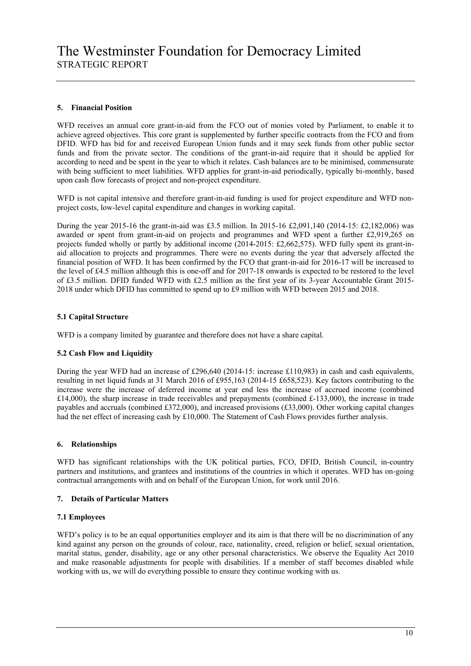# **5. Financial Position**

WFD receives an annual core grant-in-aid from the FCO out of monies voted by Parliament, to enable it to achieve agreed objectives. This core grant is supplemented by further specific contracts from the FCO and from DFID. WFD has bid for and received European Union funds and it may seek funds from other public sector funds and from the private sector. The conditions of the grant-in-aid require that it should be applied for according to need and be spent in the year to which it relates. Cash balances are to be minimised, commensurate with being sufficient to meet liabilities. WFD applies for grant-in-aid periodically, typically bi-monthly, based upon cash flow forecasts of project and non-project expenditure.

WFD is not capital intensive and therefore grant-in-aid funding is used for project expenditure and WFD nonproject costs, low-level capital expenditure and changes in working capital.

During the year 2015-16 the grant-in-aid was £3.5 million. In 2015-16 £2,091,140 (2014-15: £2,182,006) was awarded or spent from grant-in-aid on projects and programmes and WFD spent a further £2,919,265 on projects funded wholly or partly by additional income (2014-2015: £2,662,575). WFD fully spent its grant-inaid allocation to projects and programmes. There were no events during the year that adversely affected the financial position of WFD. It has been confirmed by the FCO that grant-in-aid for 2016-17 will be increased to the level of £4.5 million although this is one-off and for 2017-18 onwards is expected to be restored to the level of £3.5 million. DFID funded WFD with £2.5 million as the first year of its 3-year Accountable Grant 2015- 2018 under which DFID has committed to spend up to £9 million with WFD between 2015 and 2018.

## **5.1 Capital Structure**

WFD is a company limited by guarantee and therefore does not have a share capital.

### **5.2 Cash Flow and Liquidity**

During the year WFD had an increase of £296,640 (2014-15: increase £110,983) in cash and cash equivalents. resulting in net liquid funds at 31 March 2016 of £955,163 (2014-15 £658,523). Key factors contributing to the increase were the increase of deferred income at year end less the increase of accrued income (combined £14,000), the sharp increase in trade receivables and prepayments (combined £-133,000), the increase in trade payables and accruals (combined £372,000), and increased provisions (£33,000). Other working capital changes had the net effect of increasing cash by £10,000. The Statement of Cash Flows provides further analysis.

### **6. Relationships**

WFD has significant relationships with the UK political parties, FCO, DFID, British Council, in-country partners and institutions, and grantees and institutions of the countries in which it operates. WFD has on-going contractual arrangements with and on behalf of the European Union, for work until 2016.

## **7. Details of Particular Matters**

### **7.1 Employees**

WFD's policy is to be an equal opportunities employer and its aim is that there will be no discrimination of any kind against any person on the grounds of colour, race, nationality, creed, religion or belief, sexual orientation, marital status, gender, disability, age or any other personal characteristics. We observe the Equality Act 2010 and make reasonable adjustments for people with disabilities. If a member of staff becomes disabled while working with us, we will do everything possible to ensure they continue working with us.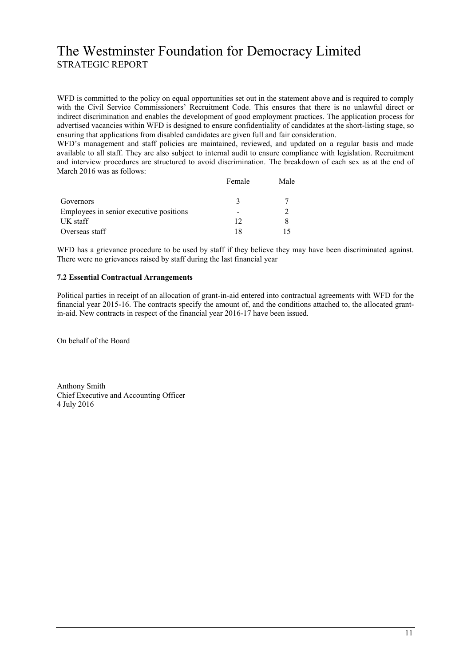WFD is committed to the policy on equal opportunities set out in the statement above and is required to comply with the Civil Service Commissioners" Recruitment Code. This ensures that there is no unlawful direct or indirect discrimination and enables the development of good employment practices. The application process for advertised vacancies within WFD is designed to ensure confidentiality of candidates at the short-listing stage, so ensuring that applications from disabled candidates are given full and fair consideration.

WFD"s management and staff policies are maintained, reviewed, and updated on a regular basis and made available to all staff. They are also subject to internal audit to ensure compliance with legislation. Recruitment and interview procedures are structured to avoid discrimination. The breakdown of each sex as at the end of March 2016 was as follows:

|                                         | Female | Male |
|-----------------------------------------|--------|------|
| Governors                               |        |      |
| Employees in senior executive positions |        |      |
| UK staff                                | 12     |      |
| Overseas staff                          | 18     |      |

WFD has a grievance procedure to be used by staff if they believe they may have been discriminated against. There were no grievances raised by staff during the last financial year

## **7.2 Essential Contractual Arrangements**

Political parties in receipt of an allocation of grant-in-aid entered into contractual agreements with WFD for the financial year 2015-16. The contracts specify the amount of, and the conditions attached to, the allocated grantin-aid. New contracts in respect of the financial year 2016-17 have been issued.

On behalf of the Board

Anthony Smith Chief Executive and Accounting Officer 4 July 2016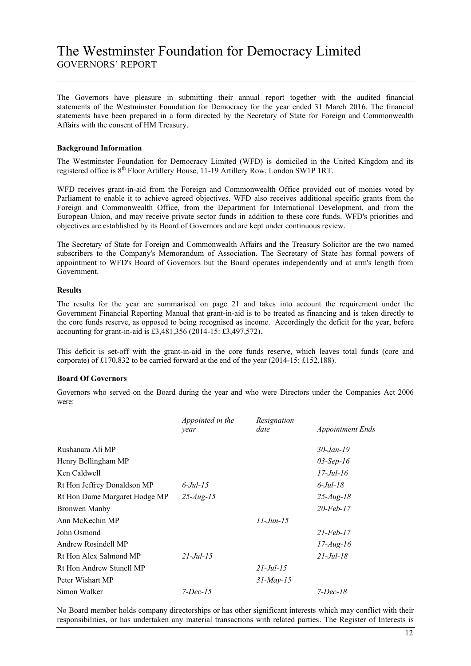# The Westminster Foundation for Democracy Limited GOVERNORS" REPORT

The Governors have pleasure in submitting their annual report together with the audited financial statements of the Westminster Foundation for Democracy for the year ended 31 March 2016. The financial statements have been prepared in a form directed by the Secretary of State for Foreign and Commonwealth Affairs with the consent of HM Treasury.

### **Background Information**

The Westminster Foundation for Democracy Limited (WFD) is domiciled in the United Kingdom and its registered office is  $8<sup>th</sup>$  Floor Artillery House, 11-19 Artillery Row, London SW1P 1RT.

WFD receives grant-in-aid from the Foreign and Commonwealth Office provided out of monies voted by Parliament to enable it to achieve agreed objectives. WFD also receives additional specific grants from the Foreign and Commonwealth Office, from the Department for International Development, and from the European Union, and may receive private sector funds in addition to these core funds. WFD's priorities and objectives are established by its Board of Governors and are kept under continuous review.

The Secretary of State for Foreign and Commonwealth Affairs and the Treasury Solicitor are the two named subscribers to the Company's Memorandum of Association. The Secretary of State has formal powers of appointment to WFD's Board of Governors but the Board operates independently and at arm's length from Government.

## **Results**

The results for the year are summarised on page 21 and takes into account the requirement under the Government Financial Reporting Manual that grant-in-aid is to be treated as financing and is taken directly to the core funds reserve, as opposed to being recognised as income. Accordingly the deficit for the year, before accounting for grant-in-aid is £3,481,356 (2014-15: £3,497,572).

This deficit is set-off with the grant-in-aid in the core funds reserve, which leaves total funds (core and corporate) of £170,832 to be carried forward at the end of the year (2014-15: £152,188).

### **Board Of Governors**

Governors who served on the Board during the year and who were Directors under the Companies Act 2006 were:

|                               | Appointed in the | Resignation  |                           |
|-------------------------------|------------------|--------------|---------------------------|
|                               | year             | date         | <b>Appointment Ends</b>   |
| Rushanara Ali MP              |                  |              | $30 - Jan - 19$           |
| Henry Bellingham MP           |                  |              | $03-Sep-16$               |
| Ken Caldwell                  |                  |              | $17 - \frac{Jul - 16}{I}$ |
| Rt Hon Jeffrey Donaldson MP   | $6$ -Jul-15      |              | $6$ -Jul-18               |
| Rt Hon Dame Margaret Hodge MP | $25 - Aug - 15$  |              | $25 - Aug - 18$           |
| Bronwen Manby                 |                  |              | $20$ -Feb-17              |
| Ann McKechin MP               |                  | $11$ -Jun-15 |                           |
| John Osmond                   |                  |              | $21$ -Feb-17              |
| Andrew Rosindell MP           |                  |              | $17$ -Aug-16              |
| Rt Hon Alex Salmond MP        | $21$ -Jul-15     |              | $21 - \frac{Jul - 18}{I}$ |
| Rt Hon Andrew Stunell MP      |                  | $21$ -Jul-15 |                           |
| Peter Wishart MP              |                  | $31$ -May-15 |                           |
| Simon Walker                  | $7$ -Dec-15      |              | $7$ -Dec-18               |

No Board member holds company directorships or has other significant interests which may conflict with their responsibilities, or has undertaken any material transactions with related parties. The Register of Interests is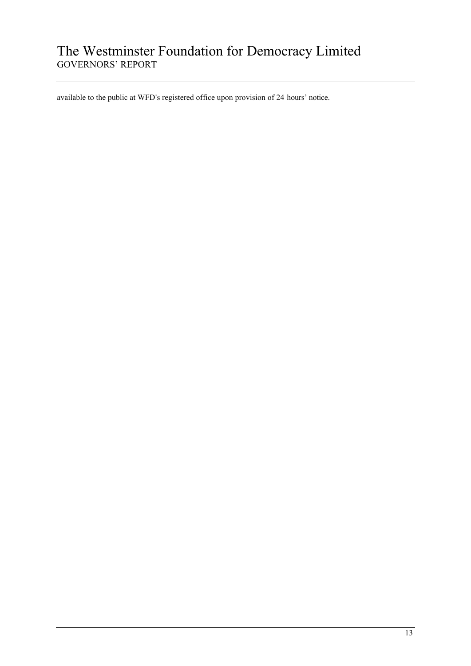# The Westminster Foundation for Democracy Limited GOVERNORS" REPORT

available to the public at WFD's registered office upon provision of 24 hours' notice.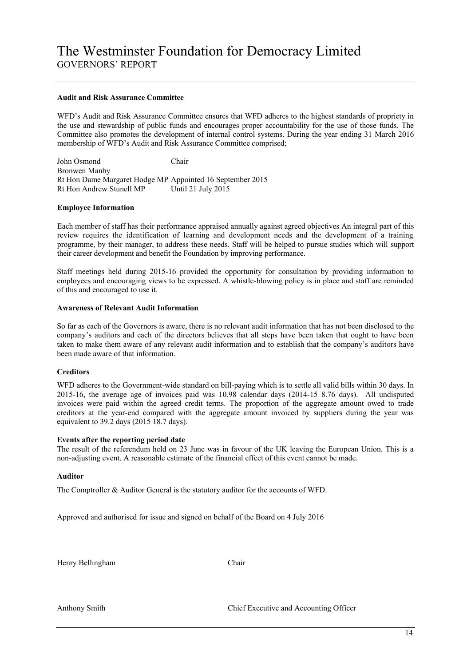#### **Audit and Risk Assurance Committee**

WFD"s Audit and Risk Assurance Committee ensures that WFD adheres to the highest standards of propriety in the use and stewardship of public funds and encourages proper accountability for the use of those funds. The Committee also promotes the development of internal control systems. During the year ending 31 March 2016 membership of WFD's Audit and Risk Assurance Committee comprised:

John Osmond Chair Bronwen Manby Rt Hon Dame Margaret Hodge MP Appointed 16 September 2015 Rt Hon Andrew Stunell MP Until 21 July 2015

#### **Employee Information**

Each member of staff has their performance appraised annually against agreed objectives An integral part of this review requires the identification of learning and development needs and the development of a training programme, by their manager, to address these needs. Staff will be helped to pursue studies which will support their career development and benefit the Foundation by improving performance.

Staff meetings held during 2015-16 provided the opportunity for consultation by providing information to employees and encouraging views to be expressed. A whistle-blowing policy is in place and staff are reminded of this and encouraged to use it.

#### **Awareness of Relevant Audit Information**

So far as each of the Governors is aware, there is no relevant audit information that has not been disclosed to the company"s auditors and each of the directors believes that all steps have been taken that ought to have been taken to make them aware of any relevant audit information and to establish that the company"s auditors have been made aware of that information.

### **Creditors**

WFD adheres to the Government-wide standard on bill-paying which is to settle all valid bills within 30 days. In 2015-16, the average age of invoices paid was 10.98 calendar days (2014-15 8.76 days). All undisputed invoices were paid within the agreed credit terms. The proportion of the aggregate amount owed to trade creditors at the year-end compared with the aggregate amount invoiced by suppliers during the year was equivalent to 39.2 days (2015 18.7 days).

#### **Events after the reporting period date**

The result of the referendum held on 23 June was in favour of the UK leaving the European Union. This is a non-adjusting event. A reasonable estimate of the financial effect of this event cannot be made.

#### **Auditor**

The Comptroller & Auditor General is the statutory auditor for the accounts of WFD.

Approved and authorised for issue and signed on behalf of the Board on 4 July 2016

Henry Bellingham Chair

Anthony Smith Chief Executive and Accounting Officer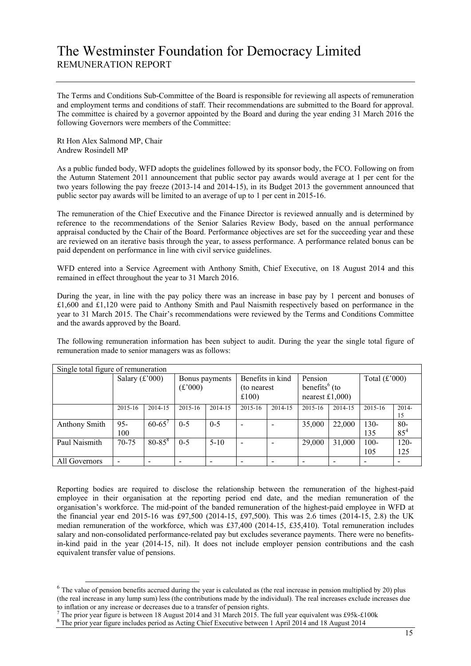The Terms and Conditions Sub-Committee of the Board is responsible for reviewing all aspects of remuneration and employment terms and conditions of staff. Their recommendations are submitted to the Board for approval. The committee is chaired by a governor appointed by the Board and during the year ending 31 March 2016 the following Governors were members of the Committee:

Rt Hon Alex Salmond MP, Chair Andrew Rosindell MP

-

As a public funded body, WFD adopts the guidelines followed by its sponsor body, the FCO. Following on from the Autumn Statement 2011 announcement that public sector pay awards would average at 1 per cent for the two years following the pay freeze (2013-14 and 2014-15), in its Budget 2013 the government announced that public sector pay awards will be limited to an average of up to 1 per cent in 2015-16.

The remuneration of the Chief Executive and the Finance Director is reviewed annually and is determined by reference to the recommendations of the Senior Salaries Review Body, based on the annual performance appraisal conducted by the Chair of the Board. Performance objectives are set for the succeeding year and these are reviewed on an iterative basis through the year, to assess performance. A performance related bonus can be paid dependent on performance in line with civil service guidelines.

WFD entered into a Service Agreement with Anthony Smith, Chief Executive, on 18 August 2014 and this remained in effect throughout the year to 31 March 2016.

During the year, in line with the pay policy there was an increase in base pay by 1 percent and bonuses of £1,600 and £1,120 were paid to Anthony Smith and Paul Naismith respectively based on performance in the year to 31 March 2015. The Chair"s recommendations were reviewed by the Terms and Conditions Committee and the awards approved by the Board.

The following remuneration information has been subject to audit. During the year the single total figure of remuneration made to senior managers was as follows:

| Single total figure of remuneration |                  |             |         |                |                          |                                                                                     |         |         |                |                    |
|-------------------------------------|------------------|-------------|---------|----------------|--------------------------|-------------------------------------------------------------------------------------|---------|---------|----------------|--------------------|
|                                     | Salary $(f'000)$ |             | (f'000) | Bonus payments | £100)                    | Benefits in kind<br>Pension<br>benefits $6$ (to<br>(to nearest)<br>nearest $£1,000$ |         |         |                | Total $(f'000)$    |
|                                     | 2015-16          | 2014-15     | 2015-16 | 2014-15        | $2015 - 16$              | 2014-15                                                                             | 2015-16 | 2014-15 | 2015-16        | $2014-$<br>15      |
| <b>Anthony Smith</b>                | $95 -$<br>100    | $60 - 65'$  | $0 - 5$ | $0 - 5$        |                          |                                                                                     | 35,000  | 22,000  | $130-$<br>135  | $80 -$<br>$85^{4}$ |
| Paul Naismith                       | 70-75            | $80 - 85^8$ | $0-5$   | $5 - 10$       | $\overline{\phantom{a}}$ |                                                                                     | 29,000  | 31,000  | $100 -$<br>105 | $120 -$<br>125     |
| All Governors                       |                  |             |         |                | $\overline{\phantom{0}}$ |                                                                                     |         |         |                |                    |

Reporting bodies are required to disclose the relationship between the remuneration of the highest-paid employee in their organisation at the reporting period end date, and the median remuneration of the organisation"s workforce. The mid-point of the banded remuneration of the highest-paid employee in WFD at the financial year end 2015-16 was £97,500 (2014-15, £97,500). This was 2.6 times (2014-15, 2.8) the UK median remuneration of the workforce, which was £37,400 (2014-15, £35,410). Total remuneration includes salary and non-consolidated performance-related pay but excludes severance payments. There were no benefitsin-kind paid in the year (2014-15, nil). It does not include employer pension contributions and the cash equivalent transfer value of pensions.

 $6$  The value of pension benefits accrued during the year is calculated as (the real increase in pension multiplied by 20) plus (the real increase in any lump sum) less (the contributions made by the individual). The real increases exclude increases due to inflation or any increase or decreases due to a transfer of pension rights.

<sup>7</sup> The prior year figure is between 18 August 2014 and 31 March 2015. The full year equivalent was £95k-£100k

<sup>8</sup> The prior year figure includes period as Acting Chief Executive between 1 April 2014 and 18 August 2014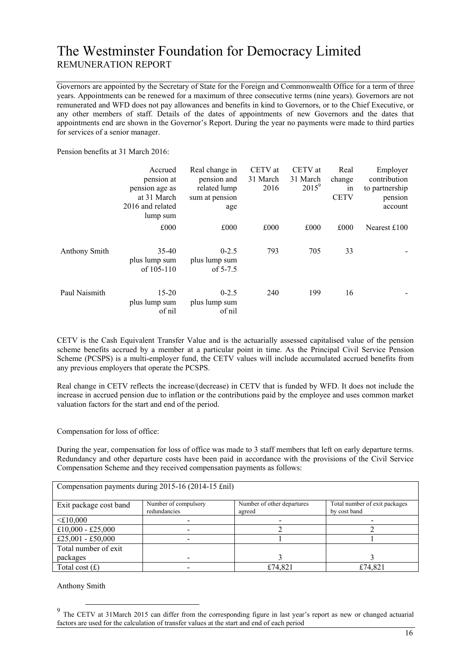Governors are appointed by the Secretary of State for the Foreign and Commonwealth Office for a term of three years. Appointments can be renewed for a maximum of three consecutive terms (nine years). Governors are not remunerated and WFD does not pay allowances and benefits in kind to Governors, or to the Chief Executive, or any other members of staff. Details of the dates of appointments of new Governors and the dates that appointments end are shown in the Governor"s Report. During the year no payments were made to third parties for services of a senior manager.

Pension benefits at 31 March 2016:

|               | Accrued<br>pension at<br>pension age as<br>at 31 March<br>2016 and related<br>lump sum | Real change in<br>pension and<br>related lump<br>sum at pension<br>age | CETV at<br>31 March<br>2016 | CETV at<br>31 March<br>$2015^9$ | Real<br>change<br>1n<br><b>CETV</b> | Employer<br>contribution<br>to partnership<br>pension<br>account |
|---------------|----------------------------------------------------------------------------------------|------------------------------------------------------------------------|-----------------------------|---------------------------------|-------------------------------------|------------------------------------------------------------------|
|               | £000                                                                                   | £000                                                                   | £000                        | £000                            | £000                                | Nearest $£100$                                                   |
| Anthony Smith | 35.40<br>plus lump sum<br>of $105-110$                                                 | $0 - 2.5$<br>plus lump sum<br>of $5-7.5$                               | 793                         | 705                             | 33                                  |                                                                  |
| Paul Naismith | $15 - 20$<br>plus lump sum<br>of nil                                                   | $0 - 2.5$<br>plus lump sum<br>of nil                                   | 240                         | 199                             | 16                                  |                                                                  |

CETV is the Cash Equivalent Transfer Value and is the actuarially assessed capitalised value of the pension scheme benefits accrued by a member at a particular point in time. As the Principal Civil Service Pension Scheme (PCSPS) is a multi-employer fund, the CETV values will include accumulated accrued benefits from any previous employers that operate the PCSPS.

Real change in CETV reflects the increase/(decrease) in CETV that is funded by WFD. It does not include the increase in accrued pension due to inflation or the contributions paid by the employee and uses common market valuation factors for the start and end of the period.

Compensation for loss of office:

During the year, compensation for loss of office was made to 3 staff members that left on early departure terms. Redundancy and other departure costs have been paid in accordance with the provisions of the Civil Service Compensation Scheme and they received compensation payments as follows:

| Compensation payments during 2015-16 (2014-15 £nil) |                      |                            |                               |  |  |
|-----------------------------------------------------|----------------------|----------------------------|-------------------------------|--|--|
|                                                     |                      |                            |                               |  |  |
| Exit package cost band                              | Number of compulsory | Number of other departures | Total number of exit packages |  |  |
|                                                     | redundancies         | agreed                     | by cost band                  |  |  |
| $<$ £10,000                                         |                      |                            |                               |  |  |
| £10,000 - £25,000                                   |                      |                            |                               |  |  |
| £25,001 - £50,000                                   |                      |                            |                               |  |  |
| Total number of exit                                |                      |                            |                               |  |  |
| packages                                            |                      |                            |                               |  |  |
| Total cost $(f)$                                    |                      | £74,821                    | £74,821                       |  |  |

Anthony Smith

<sup>&</sup>lt;sup>9</sup> The CETV at 31March 2015 can differ from the corresponding figure in last year's report as new or changed actuarial factors are used for the calculation of transfer values at the start and end of each period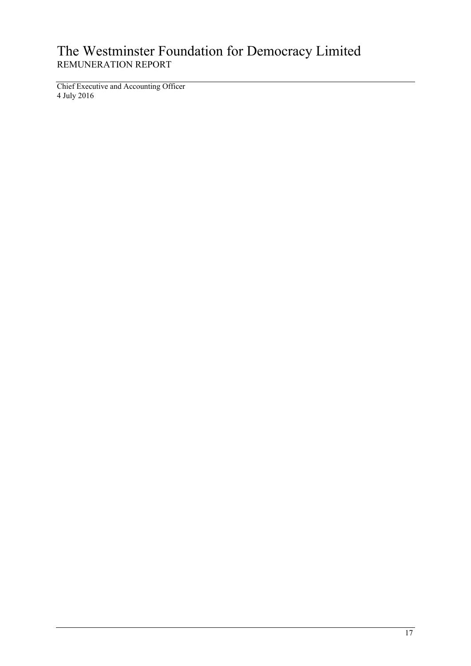Chief Executive and Accounting Officer 4 July 2016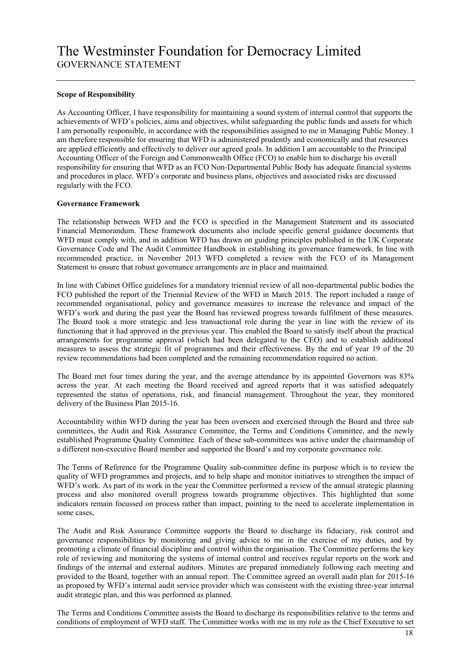### **Scope of Responsibility**

As Accounting Officer, I have responsibility for maintaining a sound system of internal control that supports the achievements of WFD"s policies, aims and objectives, whilst safeguarding the public funds and assets for which I am personally responsible, in accordance with the responsibilities assigned to me in Managing Public Money. I am therefore responsible for ensuring that WFD is administered prudently and economically and that resources are applied efficiently and effectively to deliver our agreed goals. In addition I am accountable to the Principal Accounting Officer of the Foreign and Commonwealth Office (FCO) to enable him to discharge his overall responsibility for ensuring that WFD as an FCO Non-Departmental Public Body has adequate financial systems and procedures in place. WFD"s corporate and business plans, objectives and associated risks are discussed regularly with the FCO.

#### **Governance Framework**

The relationship between WFD and the FCO is specified in the Management Statement and its associated Financial Memorandum. These framework documents also include specific general guidance documents that WFD must comply with, and in addition WFD has drawn on guiding principles published in the UK Corporate Governance Code and The Audit Committee Handbook in establishing its governance framework. In line with recommended practice, in November 2013 WFD completed a review with the FCO of its Management Statement to ensure that robust governance arrangements are in place and maintained.

In line with Cabinet Office guidelines for a mandatory triennial review of all non-departmental public bodies the FCO published the report of the Triennial Review of the WFD in March 2015. The report included a range of recommended organisational, policy and governance measures to increase the relevance and impact of the WFD"s work and during the past year the Board has reviewed progress towards fulfilment of these measures. The Board took a more strategic and less transactional role during the year in line with the review of its functioning that it had approved in the previous year. This enabled the Board to satisfy itself about the practical arrangements for programme approval (which had been delegated to the CEO) and to establish additional measures to assess the strategic fit of programmes and their effectiveness. By the end of year 19 of the 20 review recommendations had been completed and the remaining recommendation required no action.

The Board met four times during the year, and the average attendance by its appointed Governors was 83% across the year. At each meeting the Board received and agreed reports that it was satisfied adequately represented the status of operations, risk, and financial management. Throughout the year, they monitored delivery of the Business Plan 2015-16.

Accountability within WFD during the year has been overseen and exercised through the Board and three sub committees, the Audit and Risk Assurance Committee, the Terms and Conditions Committee, and the newly established Programme Quality Committee. Each of these sub-committees was active under the chairmanship of a different non-executive Board member and supported the Board"s and my corporate governance role.

The Terms of Reference for the Programme Quality sub-committee define its purpose which is to review the quality of WFD programmes and projects, and to help shape and monitor initiatives to strengthen the impact of WFD's work. As part of its work in the year the Committee performed a review of the annual strategic planning process and also monitored overall progress towards programme objectives. This highlighted that some indicators remain focussed on process rather than impact, pointing to the need to accelerate implementation in some cases,

The Audit and Risk Assurance Committee supports the Board to discharge its fiduciary, risk control and governance responsibilities by monitoring and giving advice to me in the exercise of my duties, and by promoting a climate of financial discipline and control within the organisation. The Committee performs the key role of reviewing and monitoring the systems of internal control and receives regular reports on the work and findings of the internal and external auditors. Minutes are prepared immediately following each meeting and provided to the Board, together with an annual report. The Committee agreed an overall audit plan for 2015-16 as proposed by WFD"s internal audit service provider which was consistent with the existing three-year internal audit strategic plan, and this was performed as planned.

The Terms and Conditions Committee assists the Board to discharge its responsibilities relative to the terms and conditions of employment of WFD staff. The Committee works with me in my role as the Chief Executive to set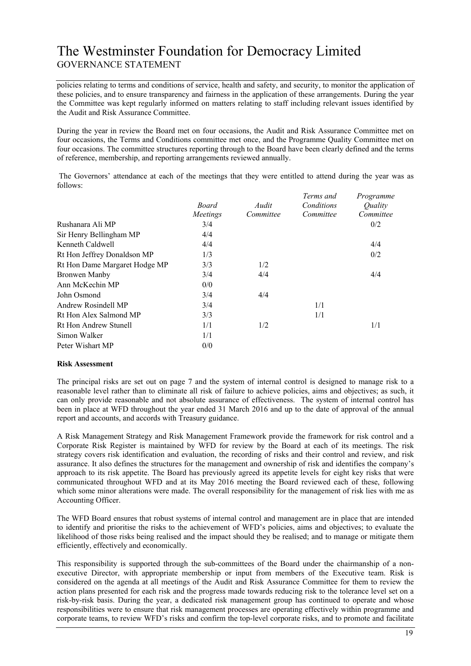# The Westminster Foundation for Democracy Limited GOVERNANCE STATEMENT

policies relating to terms and conditions of service, health and safety, and security, to monitor the application of these policies, and to ensure transparency and fairness in the application of these arrangements. During the year the Committee was kept regularly informed on matters relating to staff including relevant issues identified by the Audit and Risk Assurance Committee.

During the year in review the Board met on four occasions, the Audit and Risk Assurance Committee met on four occasions, the Terms and Conditions committee met once, and the Programme Quality Committee met on four occasions. The committee structures reporting through to the Board have been clearly defined and the terms of reference, membership, and reporting arrangements reviewed annually.

The Governors' attendance at each of the meetings that they were entitled to attend during the year was as follows:

|                               | <b>Board</b><br>Meetings | Audit<br>Committee | Terms and<br>Conditions<br>Committee | Programme<br>Ouality<br>Committee |
|-------------------------------|--------------------------|--------------------|--------------------------------------|-----------------------------------|
| Rushanara Ali MP              | 3/4                      |                    |                                      | 0/2                               |
| Sir Henry Bellingham MP       | 4/4                      |                    |                                      |                                   |
| Kenneth Caldwell              | 4/4                      |                    |                                      | 4/4                               |
| Rt Hon Jeffrey Donaldson MP   | 1/3                      |                    |                                      | 0/2                               |
| Rt Hon Dame Margaret Hodge MP | 3/3                      | 1/2                |                                      |                                   |
| Bronwen Manby                 | 3/4                      | 4/4                |                                      | 4/4                               |
| Ann McKechin MP               | 0/0                      |                    |                                      |                                   |
| John Osmond                   | 3/4                      | 4/4                |                                      |                                   |
| Andrew Rosindell MP           | 3/4                      |                    | 1/1                                  |                                   |
| Rt Hon Alex Salmond MP        | 3/3                      |                    | 1/1                                  |                                   |
| Rt Hon Andrew Stunell         | 1/1                      | 1/2                |                                      | 1/1                               |
| Simon Walker                  | 1/1                      |                    |                                      |                                   |
| Peter Wishart MP              | 0/0                      |                    |                                      |                                   |

### **Risk Assessment**

The principal risks are set out on page 7 and the system of internal control is designed to manage risk to a reasonable level rather than to eliminate all risk of failure to achieve policies, aims and objectives; as such, it can only provide reasonable and not absolute assurance of effectiveness. The system of internal control has been in place at WFD throughout the year ended 31 March 2016 and up to the date of approval of the annual report and accounts, and accords with Treasury guidance.

A Risk Management Strategy and Risk Management Framework provide the framework for risk control and a Corporate Risk Register is maintained by WFD for review by the Board at each of its meetings. The risk strategy covers risk identification and evaluation, the recording of risks and their control and review, and risk assurance. It also defines the structures for the management and ownership of risk and identifies the company"s approach to its risk appetite. The Board has previously agreed its appetite levels for eight key risks that were communicated throughout WFD and at its May 2016 meeting the Board reviewed each of these, following which some minor alterations were made. The overall responsibility for the management of risk lies with me as Accounting Officer.

The WFD Board ensures that robust systems of internal control and management are in place that are intended to identify and prioritise the risks to the achievement of WFD"s policies, aims and objectives; to evaluate the likelihood of those risks being realised and the impact should they be realised; and to manage or mitigate them efficiently, effectively and economically.

This responsibility is supported through the sub-committees of the Board under the chairmanship of a nonexecutive Director, with appropriate membership or input from members of the Executive team. Risk is considered on the agenda at all meetings of the Audit and Risk Assurance Committee for them to review the action plans presented for each risk and the progress made towards reducing risk to the tolerance level set on a risk-by-risk basis. During the year, a dedicated risk management group has continued to operate and whose responsibilities were to ensure that risk management processes are operating effectively within programme and corporate teams, to review WFD"s risks and confirm the top-level corporate risks, and to promote and facilitate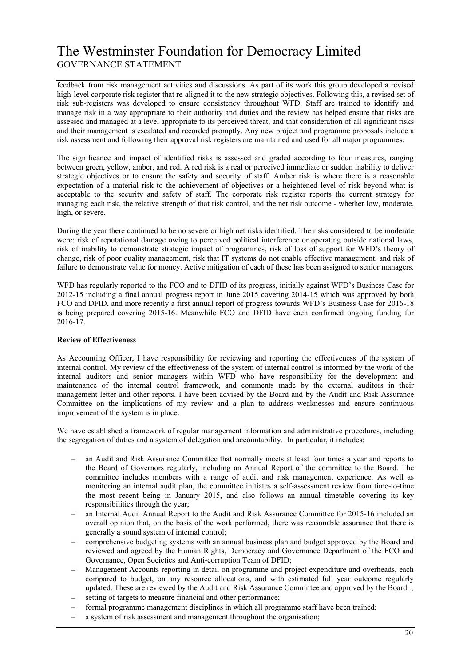# The Westminster Foundation for Democracy Limited GOVERNANCE STATEMENT

feedback from risk management activities and discussions. As part of its work this group developed a revised high-level corporate risk register that re-aligned it to the new strategic objectives. Following this, a revised set of risk sub-registers was developed to ensure consistency throughout WFD. Staff are trained to identify and manage risk in a way appropriate to their authority and duties and the review has helped ensure that risks are assessed and managed at a level appropriate to its perceived threat, and that consideration of all significant risks and their management is escalated and recorded promptly. Any new project and programme proposals include a risk assessment and following their approval risk registers are maintained and used for all major programmes.

The significance and impact of identified risks is assessed and graded according to four measures, ranging between green, yellow, amber, and red. A red risk is a real or perceived immediate or sudden inability to deliver strategic objectives or to ensure the safety and security of staff. Amber risk is where there is a reasonable expectation of a material risk to the achievement of objectives or a heightened level of risk beyond what is acceptable to the security and safety of staff. The corporate risk register reports the current strategy for managing each risk, the relative strength of that risk control, and the net risk outcome - whether low, moderate, high, or severe.

During the year there continued to be no severe or high net risks identified. The risks considered to be moderate were: risk of reputational damage owing to perceived political interference or operating outside national laws, risk of inability to demonstrate strategic impact of programmes, risk of loss of support for WFD"s theory of change, risk of poor quality management, risk that IT systems do not enable effective management, and risk of failure to demonstrate value for money. Active mitigation of each of these has been assigned to senior managers.

WFD has regularly reported to the FCO and to DFID of its progress, initially against WFD"s Business Case for 2012-15 including a final annual progress report in June 2015 covering 2014-15 which was approved by both FCO and DFID, and more recently a first annual report of progress towards WFD"s Business Case for 2016-18 is being prepared covering 2015-16. Meanwhile FCO and DFID have each confirmed ongoing funding for 2016-17.

# **Review of Effectiveness**

As Accounting Officer, I have responsibility for reviewing and reporting the effectiveness of the system of internal control. My review of the effectiveness of the system of internal control is informed by the work of the internal auditors and senior managers within WFD who have responsibility for the development and maintenance of the internal control framework, and comments made by the external auditors in their management letter and other reports. I have been advised by the Board and by the Audit and Risk Assurance Committee on the implications of my review and a plan to address weaknesses and ensure continuous improvement of the system is in place.

We have established a framework of regular management information and administrative procedures, including the segregation of duties and a system of delegation and accountability. In particular, it includes:

- an Audit and Risk Assurance Committee that normally meets at least four times a year and reports to the Board of Governors regularly, including an Annual Report of the committee to the Board. The committee includes members with a range of audit and risk management experience. As well as monitoring an internal audit plan, the committee initiates a self-assessment review from time-to-time the most recent being in January 2015, and also follows an annual timetable covering its key responsibilities through the year;
- an Internal Audit Annual Report to the Audit and Risk Assurance Committee for 2015-16 included an overall opinion that, on the basis of the work performed, there was reasonable assurance that there is generally a sound system of internal control;
- comprehensive budgeting systems with an annual business plan and budget approved by the Board and reviewed and agreed by the Human Rights, Democracy and Governance Department of the FCO and Governance, Open Societies and Anti-corruption Team of DFID;
- Management Accounts reporting in detail on programme and project expenditure and overheads, each  $\equiv$ compared to budget, on any resource allocations, and with estimated full year outcome regularly updated. These are reviewed by the Audit and Risk Assurance Committee and approved by the Board. ;
- setting of targets to measure financial and other performance;
- formal programme management disciplines in which all programme staff have been trained;
- a system of risk assessment and management throughout the organisation;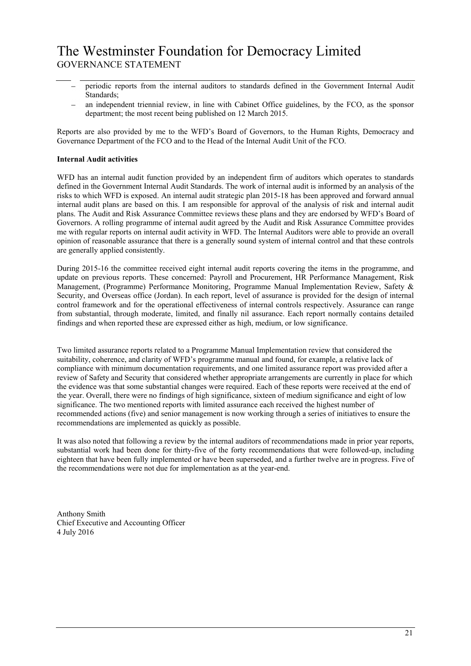# The Westminster Foundation for Democracy Limited GOVERNANCE STATEMENT

- periodic reports from the internal auditors to standards defined in the Government Internal Audit Standards;
- an independent triennial review, in line with Cabinet Office guidelines, by the FCO, as the sponsor department; the most recent being published on 12 March 2015.

Reports are also provided by me to the WFD"s Board of Governors, to the Human Rights, Democracy and Governance Department of the FCO and to the Head of the Internal Audit Unit of the FCO.

## **Internal Audit activities**

WFD has an internal audit function provided by an independent firm of auditors which operates to standards defined in the Government Internal Audit Standards. The work of internal audit is informed by an analysis of the risks to which WFD is exposed. An internal audit strategic plan 2015-18 has been approved and forward annual internal audit plans are based on this. I am responsible for approval of the analysis of risk and internal audit plans. The Audit and Risk Assurance Committee reviews these plans and they are endorsed by WFD"s Board of Governors. A rolling programme of internal audit agreed by the Audit and Risk Assurance Committee provides me with regular reports on internal audit activity in WFD. The Internal Auditors were able to provide an overall opinion of reasonable assurance that there is a generally sound system of internal control and that these controls are generally applied consistently.

During 2015-16 the committee received eight internal audit reports covering the items in the programme, and update on previous reports. These concerned: Payroll and Procurement, HR Performance Management, Risk Management, (Programme) Performance Monitoring, Programme Manual Implementation Review, Safety & Security, and Overseas office (Jordan). In each report, level of assurance is provided for the design of internal control framework and for the operational effectiveness of internal controls respectively. Assurance can range from substantial, through moderate, limited, and finally nil assurance. Each report normally contains detailed findings and when reported these are expressed either as high, medium, or low significance.

Two limited assurance reports related to a Programme Manual Implementation review that considered the suitability, coherence, and clarity of WFD"s programme manual and found, for example, a relative lack of compliance with minimum documentation requirements, and one limited assurance report was provided after a review of Safety and Security that considered whether appropriate arrangements are currently in place for which the evidence was that some substantial changes were required. Each of these reports were received at the end of the year. Overall, there were no findings of high significance, sixteen of medium significance and eight of low significance. The two mentioned reports with limited assurance each received the highest number of recommended actions (five) and senior management is now working through a series of initiatives to ensure the recommendations are implemented as quickly as possible.

It was also noted that following a review by the internal auditors of recommendations made in prior year reports, substantial work had been done for thirty-five of the forty recommendations that were followed-up, including eighteen that have been fully implemented or have been superseded, and a further twelve are in progress. Five of the recommendations were not due for implementation as at the year-end.

Anthony Smith Chief Executive and Accounting Officer 4 July 2016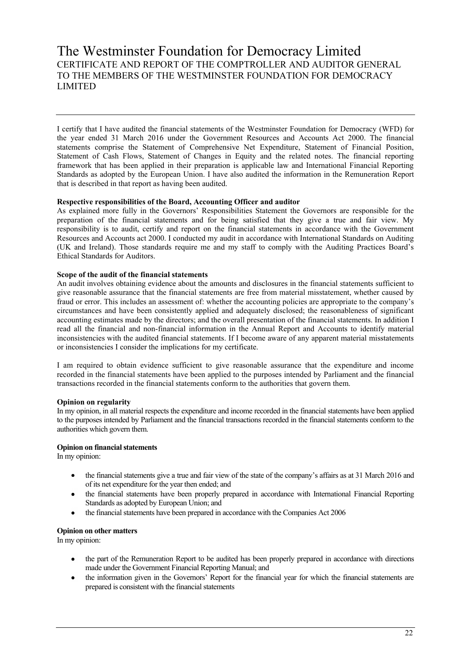# The Westminster Foundation for Democracy Limited CERTIFICATE AND REPORT OF THE COMPTROLLER AND AUDITOR GENERAL TO THE MEMBERS OF THE WESTMINSTER FOUNDATION FOR DEMOCRACY LIMITED

I certify that I have audited the financial statements of the Westminster Foundation for Democracy (WFD) for the year ended 31 March 2016 under the Government Resources and Accounts Act 2000. The financial statements comprise the Statement of Comprehensive Net Expenditure, Statement of Financial Position, Statement of Cash Flows, Statement of Changes in Equity and the related notes. The financial reporting framework that has been applied in their preparation is applicable law and International Financial Reporting Standards as adopted by the European Union. I have also audited the information in the Remuneration Report that is described in that report as having been audited.

### **Respective responsibilities of the Board, Accounting Officer and auditor**

As explained more fully in the Governors" Responsibilities Statement the Governors are responsible for the preparation of the financial statements and for being satisfied that they give a true and fair view. My responsibility is to audit, certify and report on the financial statements in accordance with the Government Resources and Accounts act 2000. I conducted my audit in accordance with International Standards on Auditing (UK and Ireland). Those standards require me and my staff to comply with the Auditing Practices Board"s Ethical Standards for Auditors.

## **Scope of the audit of the financial statements**

An audit involves obtaining evidence about the amounts and disclosures in the financial statements sufficient to give reasonable assurance that the financial statements are free from material misstatement, whether caused by fraud or error. This includes an assessment of: whether the accounting policies are appropriate to the company"s circumstances and have been consistently applied and adequately disclosed; the reasonableness of significant accounting estimates made by the directors; and the overall presentation of the financial statements. In addition I read all the financial and non-financial information in the Annual Report and Accounts to identify material inconsistencies with the audited financial statements. If I become aware of any apparent material misstatements or inconsistencies I consider the implications for my certificate.

I am required to obtain evidence sufficient to give reasonable assurance that the expenditure and income recorded in the financial statements have been applied to the purposes intended by Parliament and the financial transactions recorded in the financial statements conform to the authorities that govern them.

### **Opinion on regularity**

In my opinion, in all material respects the expenditure and income recorded in the financial statements have been applied to the purposes intended by Parliament and the financial transactions recorded in the financial statements conform to the authorities which govern them.

### **Opinion on financial statements**

In my opinion:

- the financial statements give a true and fair view of the state of the company"s affairs as at 31 March 2016 and  $\bullet$ of its net expenditure for the year then ended; and
- the financial statements have been properly prepared in accordance with International Financial Reporting  $\bullet$ Standards as adopted by European Union; and
- the financial statements have been prepared in accordance with the Companies Act 2006

### **Opinion on other matters**

In my opinion:

- the part of the Remuneration Report to be audited has been properly prepared in accordance with directions made under the Government Financial Reporting Manual; and
- the information given in the Governors" Report for the financial year for which the financial statements are  $\bullet$ prepared is consistent with the financial statements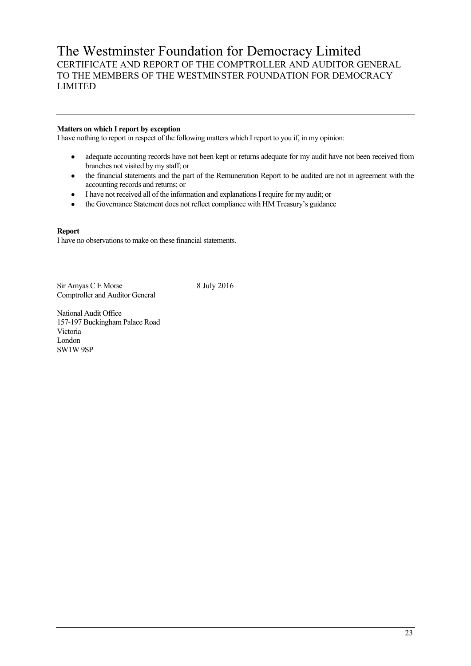# The Westminster Foundation for Democracy Limited CERTIFICATE AND REPORT OF THE COMPTROLLER AND AUDITOR GENERAL TO THE MEMBERS OF THE WESTMINSTER FOUNDATION FOR DEMOCRACY LIMITED

# **Matters on which I report by exception**

I have nothing to report in respect of the following matters which I report to you if, in my opinion:

- adequate accounting records have not been kept or returns adequate for my audit have not been received from  $\bullet$ branches not visited by my staff; or
- the financial statements and the part of the Remuneration Report to be audited are not in agreement with the  $\bullet$ accounting records and returns; or
- I have not received all of the information and explanations I require for my audit; or
- the Governance Statement does not reflect compliance with HM Treasury's guidance

## **Report**

I have no observations to make on these financial statements.

Sir Amyas C E Morse 8 July 2016 Comptroller and Auditor General

National Audit Office 157-197 Buckingham Palace Road Victoria London SW1W 9SP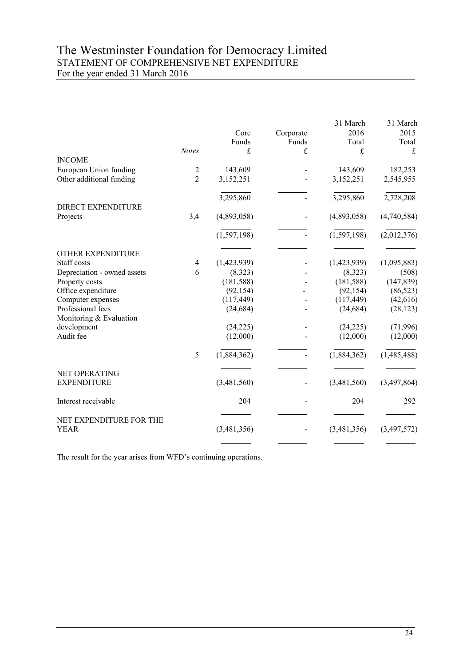# The Westminster Foundation for Democracy Limited STATEMENT OF COMPREHENSIVE NET EXPENDITURE For the year ended 31 March 2016

|                                              |                |               |           | 31 March      | 31 March      |
|----------------------------------------------|----------------|---------------|-----------|---------------|---------------|
|                                              |                | Core          | Corporate | 2016          | 2015          |
|                                              |                | Funds         | Funds     | Total         | Total         |
|                                              | Notes          | £             | £         | £             | £             |
| <b>INCOME</b>                                |                |               |           |               |               |
| European Union funding                       | $\overline{2}$ | 143,609       |           | 143,609       | 182,253       |
| Other additional funding                     | $\overline{2}$ | 3,152,251     |           | 3,152,251     | 2,545,955     |
|                                              |                | 3,295,860     |           | 3,295,860     | 2,728,208     |
| <b>DIRECT EXPENDITURE</b>                    |                |               |           |               |               |
| Projects                                     | 3,4            | (4,893,058)   |           | (4,893,058)   | (4,740,584)   |
|                                              |                | (1, 597, 198) |           | (1, 597, 198) | (2,012,376)   |
| OTHER EXPENDITURE                            |                |               |           |               |               |
| Staff costs                                  | $\overline{4}$ | (1,423,939)   |           | (1,423,939)   | (1,095,883)   |
| Depreciation - owned assets                  | 6              | (8,323)       |           | (8,323)       | (508)         |
| Property costs                               |                | (181, 588)    |           | (181, 588)    | (147, 839)    |
| Office expenditure                           |                | (92, 154)     |           | (92, 154)     | (86, 523)     |
| Computer expenses                            |                | (117, 449)    |           | (117, 449)    | (42, 616)     |
| Professional fees<br>Monitoring & Evaluation |                | (24, 684)     |           | (24, 684)     | (28, 123)     |
| development                                  |                | (24, 225)     |           | (24, 225)     | (71, 996)     |
| Audit fee                                    |                | (12,000)      |           | (12,000)      | (12,000)      |
|                                              | 5              | (1,884,362)   |           | (1,884,362)   | (1,485,488)   |
| NET OPERATING                                |                |               |           |               |               |
| <b>EXPENDITURE</b>                           |                | (3,481,560)   |           | (3,481,560)   | (3, 497, 864) |
| Interest receivable                          |                | 204           |           | 204           | 292           |
| NET EXPENDITURE FOR THE<br><b>YEAR</b>       |                | (3,481,356)   |           | (3,481,356)   | (3,497,572)   |
|                                              |                |               |           |               |               |

The result for the year arises from WFD's continuing operations.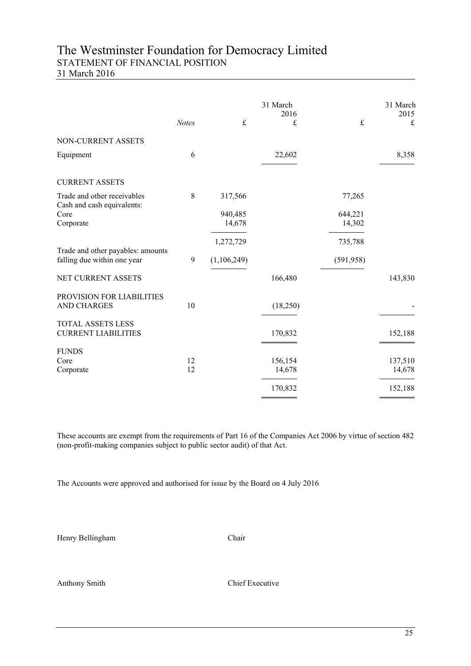# The Westminster Foundation for Democracy Limited STATEMENT OF FINANCIAL POSITION

31 March 2016

|                                                                  | <b>Notes</b> | $\frak{t}$  | 31 March<br>2016<br>£ | $\mathbf f$ | 31 March<br>2015<br>£ |
|------------------------------------------------------------------|--------------|-------------|-----------------------|-------------|-----------------------|
| NON-CURRENT ASSETS                                               |              |             |                       |             |                       |
| Equipment                                                        | 6            |             | 22,602                |             | 8,358                 |
| <b>CURRENT ASSETS</b>                                            |              |             |                       |             |                       |
| Trade and other receivables                                      | $\,$ 8 $\,$  | 317,566     |                       | 77,265      |                       |
| Cash and cash equivalents:<br>Core                               |              | 940,485     |                       | 644,221     |                       |
| Corporate                                                        |              | 14,678      |                       | 14,302      |                       |
|                                                                  |              | 1,272,729   |                       | 735,788     |                       |
| Trade and other payables: amounts<br>falling due within one year | 9            | (1,106,249) |                       | (591, 958)  |                       |
| NET CURRENT ASSETS                                               |              |             | 166,480               |             | 143,830               |
| PROVISION FOR LIABILITIES<br><b>AND CHARGES</b>                  | 10           |             | (18,250)              |             |                       |
| <b>TOTAL ASSETS LESS</b><br><b>CURRENT LIABILITIES</b>           |              |             | 170,832               |             | 152,188               |
| <b>FUNDS</b>                                                     |              |             |                       |             |                       |
| Core<br>Corporate                                                | 12<br>12     |             | 156,154<br>14,678     |             | 137,510<br>14,678     |
|                                                                  |              |             |                       |             |                       |
|                                                                  |              |             | 170,832               |             | 152,188               |

These accounts are exempt from the requirements of Part 16 of the Companies Act 2006 by virtue of section 482 (non-profit-making companies subject to public sector audit) of that Act.

The Accounts were approved and authorised for issue by the Board on 4 July 2016

Henry Bellingham Chair

Anthony Smith Chief Executive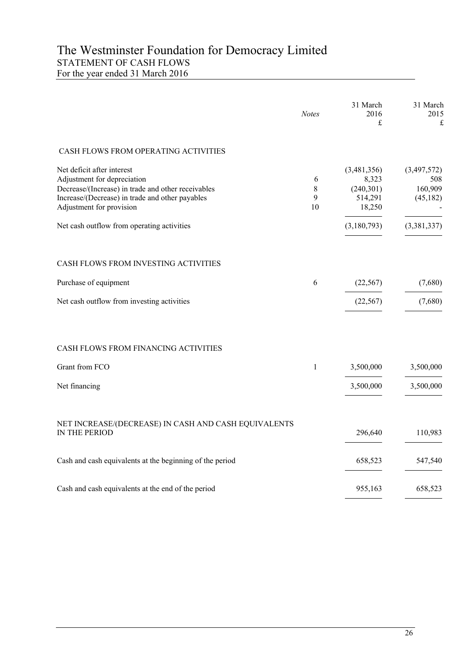# The Westminster Foundation for Democracy Limited STATEMENT OF CASH FLOWS For the year ended 31 March 2016

|                                                                                                                                                                                                | <b>Notes</b>      | 31 March<br>2016<br>£                                   | 31 March<br>2015<br>$\mathbf f$            |
|------------------------------------------------------------------------------------------------------------------------------------------------------------------------------------------------|-------------------|---------------------------------------------------------|--------------------------------------------|
| CASH FLOWS FROM OPERATING ACTIVITIES                                                                                                                                                           |                   |                                                         |                                            |
| Net deficit after interest<br>Adjustment for depreciation<br>Decrease/(Increase) in trade and other receivables<br>Increase/(Decrease) in trade and other payables<br>Adjustment for provision | 6<br>8<br>9<br>10 | (3,481,356)<br>8,323<br>(240, 301)<br>514,291<br>18,250 | (3,497,572)<br>508<br>160,909<br>(45, 182) |
| Net cash outflow from operating activities                                                                                                                                                     |                   | (3,180,793)                                             | (3,381,337)                                |
| CASH FLOWS FROM INVESTING ACTIVITIES                                                                                                                                                           |                   |                                                         |                                            |
| Purchase of equipment                                                                                                                                                                          | 6                 | (22, 567)                                               | (7,680)                                    |
| Net cash outflow from investing activities                                                                                                                                                     |                   | (22, 567)                                               | (7,680)                                    |
| CASH FLOWS FROM FINANCING ACTIVITIES                                                                                                                                                           |                   |                                                         |                                            |
| Grant from FCO                                                                                                                                                                                 | $\mathbf{1}$      | 3,500,000                                               | 3,500,000                                  |
| Net financing                                                                                                                                                                                  |                   | 3,500,000                                               | 3,500,000                                  |
| NET INCREASE/(DECREASE) IN CASH AND CASH EQUIVALENTS<br>IN THE PERIOD                                                                                                                          |                   | 296,640                                                 | 110,983                                    |
| Cash and cash equivalents at the beginning of the period                                                                                                                                       |                   | 658,523                                                 | 547,540                                    |
| Cash and cash equivalents at the end of the period                                                                                                                                             |                   | 955,163                                                 | 658,523                                    |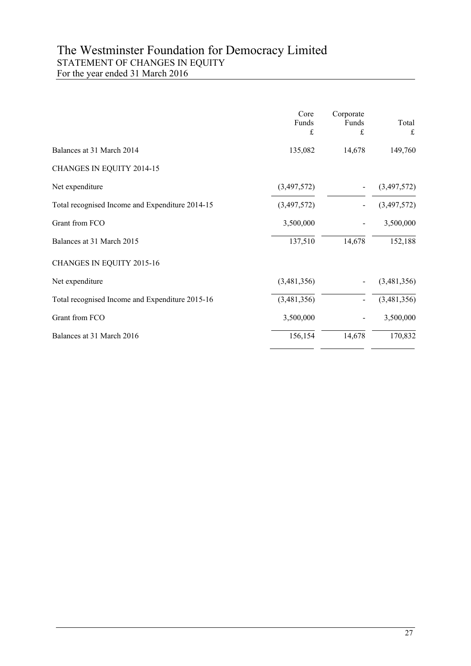# The Westminster Foundation for Democracy Limited STATEMENT OF CHANGES IN EQUITY For the year ended 31 March 2016

|                                                 | Core<br>Funds<br>£ | Corporate<br>Funds<br>£ | Total<br>£  |
|-------------------------------------------------|--------------------|-------------------------|-------------|
| Balances at 31 March 2014                       | 135,082            | 14,678                  | 149,760     |
| CHANGES IN EQUITY 2014-15                       |                    |                         |             |
| Net expenditure                                 | (3,497,572)        |                         | (3,497,572) |
| Total recognised Income and Expenditure 2014-15 | (3,497,572)        |                         | (3,497,572) |
| Grant from FCO                                  | 3,500,000          |                         | 3,500,000   |
| Balances at 31 March 2015                       | 137,510            | 14,678                  | 152,188     |
| CHANGES IN EQUITY 2015-16                       |                    |                         |             |
| Net expenditure                                 | (3,481,356)        |                         | (3,481,356) |
| Total recognised Income and Expenditure 2015-16 | (3,481,356)        |                         | (3,481,356) |
| Grant from FCO                                  | 3,500,000          |                         | 3,500,000   |
| Balances at 31 March 2016                       | 156,154            | 14,678                  | 170,832     |
|                                                 |                    |                         |             |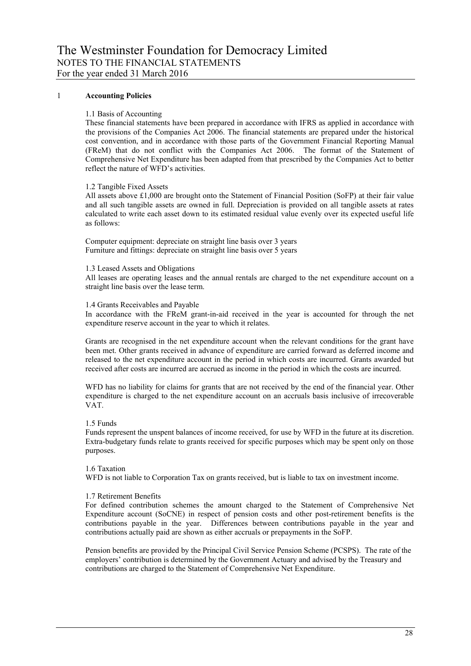### 1 **Accounting Policies**

### 1.1 Basis of Accounting

These financial statements have been prepared in accordance with IFRS as applied in accordance with the provisions of the Companies Act 2006. The financial statements are prepared under the historical cost convention, and in accordance with those parts of the Government Financial Reporting Manual (FReM) that do not conflict with the Companies Act 2006. The format of the Statement of Comprehensive Net Expenditure has been adapted from that prescribed by the Companies Act to better reflect the nature of WFD"s activities.

### 1.2 Tangible Fixed Assets

All assets above £1,000 are brought onto the Statement of Financial Position (SoFP) at their fair value and all such tangible assets are owned in full. Depreciation is provided on all tangible assets at rates calculated to write each asset down to its estimated residual value evenly over its expected useful life as follows:

Computer equipment: depreciate on straight line basis over 3 years Furniture and fittings: depreciate on straight line basis over 5 years

1.3 Leased Assets and Obligations

All leases are operating leases and the annual rentals are charged to the net expenditure account on a straight line basis over the lease term.

#### 1.4 Grants Receivables and Payable

In accordance with the FReM grant-in-aid received in the year is accounted for through the net expenditure reserve account in the year to which it relates.

Grants are recognised in the net expenditure account when the relevant conditions for the grant have been met. Other grants received in advance of expenditure are carried forward as deferred income and released to the net expenditure account in the period in which costs are incurred. Grants awarded but received after costs are incurred are accrued as income in the period in which the costs are incurred.

WFD has no liability for claims for grants that are not received by the end of the financial year. Other expenditure is charged to the net expenditure account on an accruals basis inclusive of irrecoverable VAT.

1.5 Funds

Funds represent the unspent balances of income received, for use by WFD in the future at its discretion. Extra-budgetary funds relate to grants received for specific purposes which may be spent only on those purposes.

### 1.6 Taxation

WFD is not liable to Corporation Tax on grants received, but is liable to tax on investment income.

### 1.7 Retirement Benefits

For defined contribution schemes the amount charged to the Statement of Comprehensive Net Expenditure account (SoCNE) in respect of pension costs and other post-retirement benefits is the contributions payable in the year. Differences between contributions payable in the year and contributions actually paid are shown as either accruals or prepayments in the SoFP.

Pension benefits are provided by the Principal Civil Service Pension Scheme (PCSPS). The rate of the employers" contribution is determined by the Government Actuary and advised by the Treasury and contributions are charged to the Statement of Comprehensive Net Expenditure.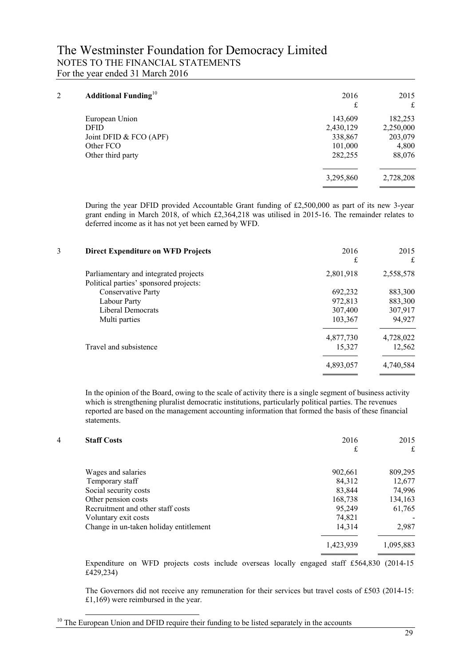# The Westminster Foundation for Democracy Limited NOTES TO THE FINANCIAL STATEMENTS For the year ended 31 March 2016

| 2 | <b>Additional Funding</b> <sup>10</sup> | 2016<br>£ | 2015<br>£ |
|---|-----------------------------------------|-----------|-----------|
|   | European Union                          | 143,609   | 182,253   |
|   | <b>DFID</b>                             | 2,430,129 | 2,250,000 |
|   | Joint DFID & FCO (APF)                  | 338,867   | 203,079   |
|   | Other FCO                               | 101,000   | 4,800     |
|   | Other third party                       | 282,255   | 88,076    |
|   |                                         | 3,295,860 | 2,728,208 |

During the year DFID provided Accountable Grant funding of £2,500,000 as part of its new 3-year grant ending in March 2018, of which £2,364,218 was utilised in 2015-16. The remainder relates to deferred income as it has not yet been earned by WFD.

| 2015<br>£<br>£                                                                                    |
|---------------------------------------------------------------------------------------------------|
| 2,558,578                                                                                         |
| 883,300                                                                                           |
| 883,300                                                                                           |
| 307,917                                                                                           |
| 94,927                                                                                            |
| 4,728,022                                                                                         |
| 12,562                                                                                            |
| 4,740,584                                                                                         |
| 2016<br>2,801,918<br>692,232<br>972,813<br>307,400<br>103,367<br>4,877,730<br>15,327<br>4,893,057 |

In the opinion of the Board, owing to the scale of activity there is a single segment of business activity which is strengthening pluralist democratic institutions, particularly political parties. The revenues reported are based on the management accounting information that formed the basis of these financial statements.

| 4 | <b>Staff Costs</b>                     | 2016<br>£ | 2015<br>£ |
|---|----------------------------------------|-----------|-----------|
|   | Wages and salaries                     | 902,661   | 809,295   |
|   | Temporary staff                        | 84,312    | 12,677    |
|   | Social security costs                  | 83,844    | 74,996    |
|   | Other pension costs                    | 168,738   | 134,163   |
|   | Recruitment and other staff costs      | 95,249    | 61,765    |
|   | Voluntary exit costs                   | 74,821    |           |
|   | Change in un-taken holiday entitlement | 14,314    | 2,987     |
|   |                                        | 1,423,939 | 1,095,883 |

Expenditure on WFD projects costs include overseas locally engaged staff £564,830 (2014-15 £429,234)

The Governors did not receive any remuneration for their services but travel costs of £503 (2014-15: £1,169) were reimbursed in the year.

1

 $10$  The European Union and DFID require their funding to be listed separately in the accounts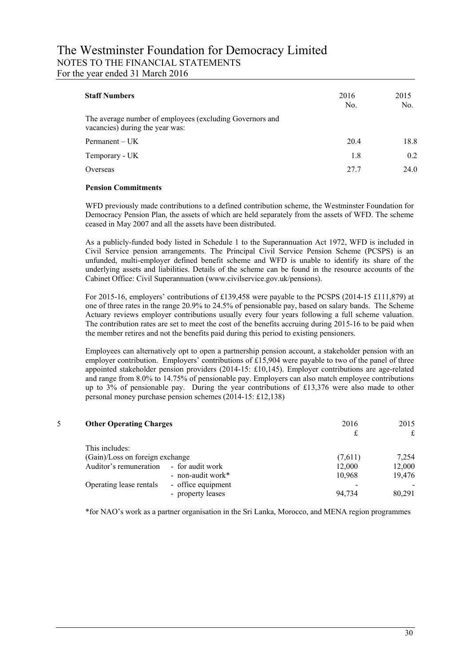# The Westminster Foundation for Democracy Limited NOTES TO THE FINANCIAL STATEMENTS For the year ended 31 March 2016

| <b>Staff Numbers</b>                                                                        | 2016<br>No. | 2015<br>No. |
|---------------------------------------------------------------------------------------------|-------------|-------------|
| The average number of employees (excluding Governors and<br>vacancies) during the year was: |             |             |
| Permannent – UK                                                                             | 20.4        | 18.8        |
| Temporary - UK                                                                              | 1.8         | 0.2         |
| Overseas                                                                                    | 27.7        | 24.0        |

## **Pension Commitments**

WFD previously made contributions to a defined contribution scheme, the Westminster Foundation for Democracy Pension Plan, the assets of which are held separately from the assets of WFD. The scheme ceased in May 2007 and all the assets have been distributed.

As a publicly-funded body listed in Schedule 1 to the Superannuation Act 1972, WFD is included in Civil Service pension arrangements. The Principal Civil Service Pension Scheme (PCSPS) is an unfunded, multi-employer defined benefit scheme and WFD is unable to identify its share of the underlying assets and liabilities. Details of the scheme can be found in the resource accounts of the Cabinet Office: Civil Superannuation (www.civilservice.gov.uk/pensions).

For 2015-16, employers' contributions of £139,458 were payable to the PCSPS (2014-15 £111,879) at one of three rates in the range 20.9% to 24.5% of pensionable pay, based on salary bands. The Scheme Actuary reviews employer contributions usually every four years following a full scheme valuation. The contribution rates are set to meet the cost of the benefits accruing during 2015-16 to be paid when the member retires and not the benefits paid during this period to existing pensioners.

Employees can alternatively opt to open a partnership pension account, a stakeholder pension with an employer contribution. Employers' contributions of £15,904 were payable to two of the panel of three appointed stakeholder pension providers (2014-15: £10,145). Employer contributions are age-related and range from 8.0% to 14.75% of pensionable pay. Employers can also match employee contributions up to 3% of pensionable pay. During the year contributions of £13,376 were also made to other personal money purchase pension schemes (2014-15: £12,138)

| 5. | <b>Other Operating Charges</b>  |                    | 2016    | 2015<br>£ |
|----|---------------------------------|--------------------|---------|-----------|
|    | This includes:                  |                    |         |           |
|    | (Gain)/Loss on foreign exchange |                    | (7,611) | 7,254     |
|    | Auditor's remuneration          | - for audit work   | 12,000  | 12,000    |
|    |                                 | - non-audit work*  | 10,968  | 19,476    |
|    | Operating lease rentals         | - office equipment |         |           |
|    |                                 | - property leases  | 94.734  | 80,291    |
|    |                                 |                    |         |           |

\*for NAO"s work as a partner organisation in the Sri Lanka, Morocco, and MENA region programmes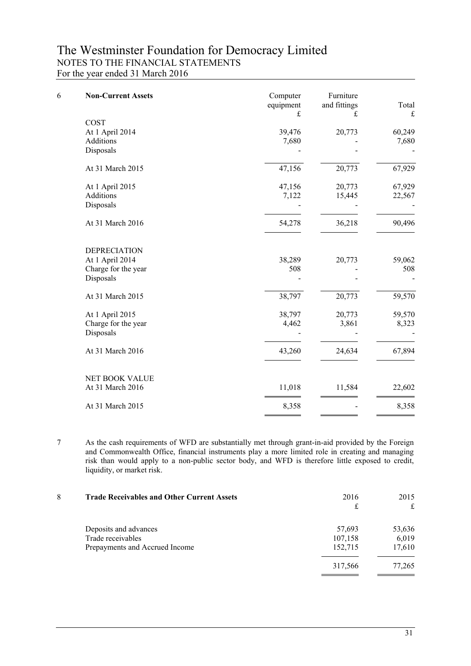# The Westminster Foundation for Democracy Limited NOTES TO THE FINANCIAL STATEMENTS For the year ended 31 March 2016

| 6 | <b>Non-Current Assets</b> | Computer<br>equipment<br>£ | Furniture<br>and fittings<br>£ | Total<br>$\pounds$ |
|---|---------------------------|----------------------------|--------------------------------|--------------------|
|   | COST                      |                            |                                |                    |
|   | At 1 April 2014           | 39,476                     | 20,773                         | 60,249             |
|   | Additions                 | 7,680                      |                                | 7,680              |
|   | Disposals                 |                            |                                |                    |
|   | At 31 March 2015          | 47,156                     | 20,773                         | 67,929             |
|   | At 1 April 2015           | 47,156                     | 20,773                         | 67,929             |
|   | Additions                 | 7,122                      | 15,445                         | 22,567             |
|   | Disposals                 |                            |                                |                    |
|   | At 31 March 2016          | 54,278                     | 36,218                         | 90,496             |
|   | <b>DEPRECIATION</b>       |                            |                                |                    |
|   | At 1 April 2014           | 38,289                     | 20,773                         | 59,062             |
|   | Charge for the year       | 508                        |                                | 508                |
|   | Disposals                 |                            |                                |                    |
|   | At 31 March 2015          | 38,797                     | 20,773                         | 59,570             |
|   | At 1 April 2015           | 38,797                     | 20,773                         | 59,570             |
|   | Charge for the year       | 4,462                      | 3,861                          | 8,323              |
|   | Disposals                 |                            |                                |                    |
|   | At 31 March 2016          | 43,260                     | 24,634                         | 67,894             |
|   | NET BOOK VALUE            |                            |                                |                    |
|   | At 31 March 2016          | 11,018                     | 11,584                         | 22,602             |
|   | At 31 March 2015          | 8,358                      |                                | 8,358              |
|   |                           |                            |                                |                    |

7 As the cash requirements of WFD are substantially met through grant-in-aid provided by the Foreign and Commonwealth Office, financial instruments play a more limited role in creating and managing risk than would apply to a non-public sector body, and WFD is therefore little exposed to credit, liquidity, or market risk.

| 8 | <b>Trade Receivables and Other Current Assets</b> | 2016<br>£ | 2015<br>£ |
|---|---------------------------------------------------|-----------|-----------|
|   | Deposits and advances                             | 57,693    | 53,636    |
|   | Trade receivables                                 | 107,158   | 6,019     |
|   | Prepayments and Accrued Income                    | 152,715   | 17,610    |
|   |                                                   | 317,566   | 77,265    |
|   |                                                   |           |           |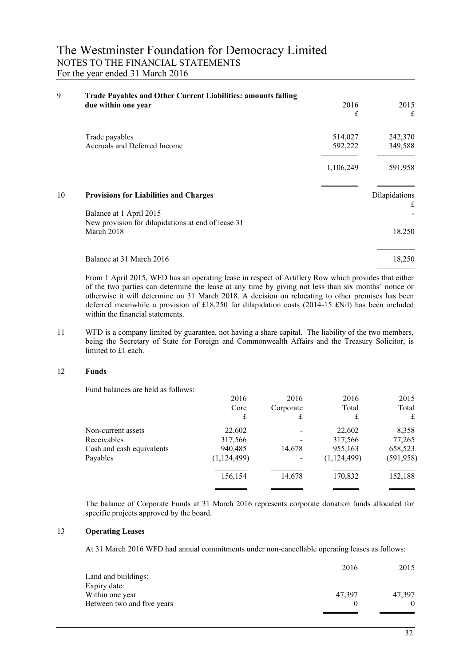| 9  | Trade Payables and Other Current Liabilities: amounts falling    |           |               |
|----|------------------------------------------------------------------|-----------|---------------|
|    | due within one year                                              | 2016      | 2015          |
|    |                                                                  | £         | £             |
|    | Trade payables                                                   | 514,027   | 242,370       |
|    | Accruals and Deferred Income                                     | 592,222   | 349,588       |
|    |                                                                  | 1,106,249 | 591,958       |
| 10 | <b>Provisions for Liabilities and Charges</b>                    |           | Dilapidations |
|    | Balance at 1 April 2015                                          |           | £             |
|    | New provision for dilapidations at end of lease 31<br>March 2018 |           | 18,250        |
|    | Balance at 31 March 2016                                         |           | 18,250        |

From 1 April 2015, WFD has an operating lease in respect of Artillery Row which provides that either of the two parties can determine the lease at any time by giving not less than six months" notice or otherwise it will determine on 31 March 2018. A decision on relocating to other premises has been deferred meanwhile a provision of £18,250 for dilapidation costs (2014-15 £Nil) has been included within the financial statements.

11 WFD is a company limited by guarantee, not having a share capital. The liability of the two members, being the Secretary of State for Foreign and Commonwealth Affairs and the Treasury Solicitor, is limited to £1 each.

## 12 **Funds**

Fund balances are held as follows:

|                           | 2016        | 2016      | 2016          | 2015       |
|---------------------------|-------------|-----------|---------------|------------|
|                           | Core        | Corporate | Total         | Total      |
|                           | £           | £         | £             | £          |
| Non-current assets        | 22,602      |           | 22,602        | 8,358      |
| Receivables               | 317,566     |           | 317,566       | 77,265     |
| Cash and cash equivalents | 940,485     | 14,678    | 955,163       | 658,523    |
| Payables                  | (1,124,499) |           | (1, 124, 499) | (591, 958) |
|                           | 156,154     | 14,678    | 170,832       | 152,188    |
|                           |             |           |               |            |

The balance of Corporate Funds at 31 March 2016 represents corporate donation funds allocated for specific projects approved by the board.

### 13 **Operating Leases**

At 31 March 2016 WFD had annual commitments under non-cancellable operating leases as follows:

|                            | 2016   | 2015   |
|----------------------------|--------|--------|
| Land and buildings:        |        |        |
| Expiry date:               |        |        |
| Within one year            | 47.397 | 47.397 |
| Between two and five years |        |        |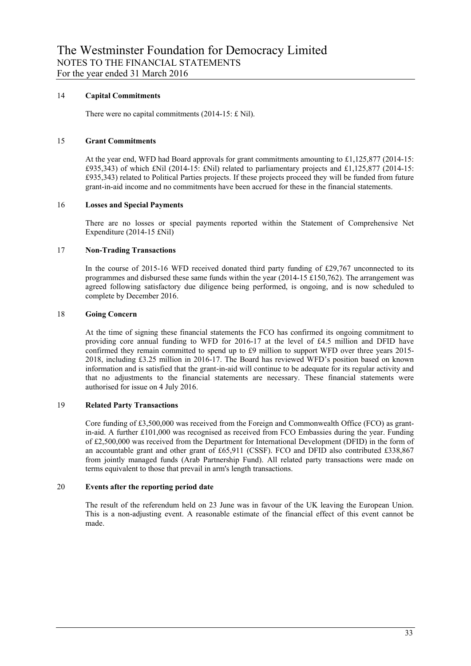## 14 **Capital Commitments**

There were no capital commitments (2014-15: £ Nil).

### 15 **Grant Commitments**

At the year end, WFD had Board approvals for grant commitments amounting to £1,125,877 (2014-15:  $£935,343)$  of which £Nil (2014-15: £Nil) related to parliamentary projects and £1,125,877 (2014-15: £935,343) related to Political Parties projects. If these projects proceed they will be funded from future grant-in-aid income and no commitments have been accrued for these in the financial statements.

## 16 **Losses and Special Payments**

There are no losses or special payments reported within the Statement of Comprehensive Net Expenditure (2014-15 £Nil)

### 17 **Non-Trading Transactions**

In the course of 2015-16 WFD received donated third party funding of £29,767 unconnected to its programmes and disbursed these same funds within the year (2014-15 £150,762). The arrangement was agreed following satisfactory due diligence being performed, is ongoing, and is now scheduled to complete by December 2016.

### 18 **Going Concern**

At the time of signing these financial statements the FCO has confirmed its ongoing commitment to providing core annual funding to WFD for 2016-17 at the level of £4.5 million and DFID have confirmed they remain committed to spend up to £9 million to support WFD over three years 2015- 2018, including £3.25 million in 2016-17. The Board has reviewed WFD"s position based on known information and is satisfied that the grant-in-aid will continue to be adequate for its regular activity and that no adjustments to the financial statements are necessary. These financial statements were authorised for issue on 4 July 2016.

# 19 **Related Party Transactions**

Core funding of £3,500,000 was received from the Foreign and Commonwealth Office (FCO) as grantin-aid. A further £101,000 was recognised as received from FCO Embassies during the year. Funding of £2,500,000 was received from the Department for International Development (DFID) in the form of an accountable grant and other grant of £65,911 (CSSF). FCO and DFID also contributed £338,867 from jointly managed funds (Arab Partnership Fund). All related party transactions were made on terms equivalent to those that prevail in arm's length transactions.

## 20 **Events after the reporting period date**

The result of the referendum held on 23 June was in favour of the UK leaving the European Union. This is a non-adjusting event. A reasonable estimate of the financial effect of this event cannot be made.